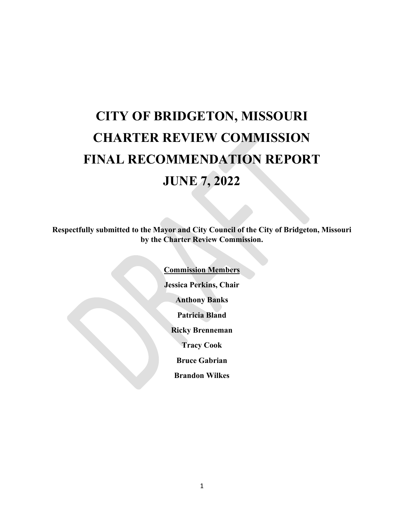# **CITY OF BRIDGETON, MISSOURI CHARTER REVIEW COMMISSION FINAL RECOMMENDATION REPORT JUNE 7, 2022**

**Respectfully submitted to the Mayor and City Council of the City of Bridgeton, Missouri by the Charter Review Commission.**

> **Commission Members Jessica Perkins, Chair Anthony Banks Patricia Bland Ricky Brenneman Tracy Cook Bruce Gabrian Brandon Wilkes**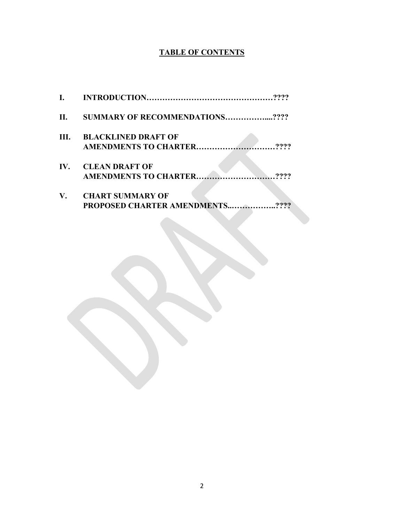# **TABLE OF CONTENTS**

| $\mathbf{I}$ . |                                                               |
|----------------|---------------------------------------------------------------|
| II.            | <b>SUMMARY OF RECOMMENDATIONS????</b>                         |
| III.           | <b>BLACKLINED DRAFT OF</b>                                    |
| IV.            | <b>CLEAN DRAFT OF</b><br><b>AMENDMENTS TO CHARTER</b>         |
| V.             | <b>CHART SUMMARY OF</b><br><b>PROPOSED CHARTER AMENDMENTS</b> |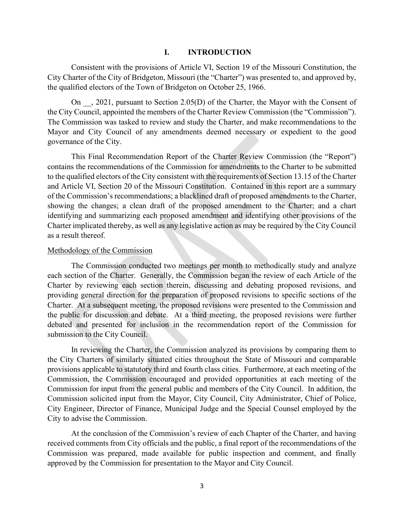#### **I. INTRODUCTION**

Consistent with the provisions of Article VI, Section 19 of the Missouri Constitution, the City Charter of the City of Bridgeton, Missouri (the "Charter") was presented to, and approved by, the qualified electors of the Town of Bridgeton on October 25, 1966.

On , 2021, pursuant to Section 2.05(D) of the Charter, the Mayor with the Consent of the City Council, appointed the members of the Charter Review Commission (the "Commission"). The Commission was tasked to review and study the Charter, and make recommendations to the Mayor and City Council of any amendments deemed necessary or expedient to the good governance of the City.

This Final Recommendation Report of the Charter Review Commission (the "Report") contains the recommendations of the Commission for amendments to the Charter to be submitted to the qualified electors of the City consistent with the requirements of Section 13.15 of the Charter and Article VI, Section 20 of the Missouri Constitution. Contained in this report are a summary of the Commission's recommendations; a blacklined draft of proposed amendments to the Charter, showing the changes; a clean draft of the proposed amendment to the Charter; and a chart identifying and summarizing each proposed amendment and identifying other provisions of the Charter implicated thereby, as well as any legislative action as may be required by the City Council as a result thereof.

#### Methodology of the Commission

The Commission conducted two meetings per month to methodically study and analyze each section of the Charter. Generally, the Commission began the review of each Article of the Charter by reviewing each section therein, discussing and debating proposed revisions, and providing general direction for the preparation of proposed revisions to specific sections of the Charter. At a subsequent meeting, the proposed revisions were presented to the Commission and the public for discussion and debate. At a third meeting, the proposed revisions were further debated and presented for inclusion in the recommendation report of the Commission for submission to the City Council.

In reviewing the Charter, the Commission analyzed its provisions by comparing them to the City Charters of similarly situated cities throughout the State of Missouri and comparable provisions applicable to statutory third and fourth class cities. Furthermore, at each meeting of the Commission, the Commission encouraged and provided opportunities at each meeting of the Commission for input from the general public and members of the City Council. In addition, the Commission solicited input from the Mayor, City Council, City Administrator, Chief of Police, City Engineer, Director of Finance, Municipal Judge and the Special Counsel employed by the City to advise the Commission.

At the conclusion of the Commission's review of each Chapter of the Charter, and having received comments from City officials and the public, a final report of the recommendations of the Commission was prepared, made available for public inspection and comment, and finally approved by the Commission for presentation to the Mayor and City Council.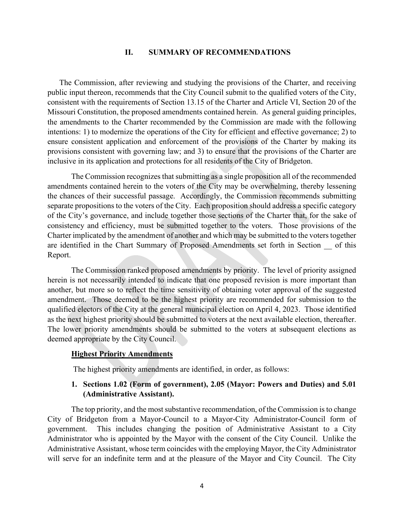#### **II. SUMMARY OF RECOMMENDATIONS**

The Commission, after reviewing and studying the provisions of the Charter, and receiving public input thereon, recommends that the City Council submit to the qualified voters of the City, consistent with the requirements of Section 13.15 of the Charter and Article VI, Section 20 of the Missouri Constitution, the proposed amendments contained herein. As general guiding principles, the amendments to the Charter recommended by the Commission are made with the following intentions: 1) to modernize the operations of the City for efficient and effective governance; 2) to ensure consistent application and enforcement of the provisions of the Charter by making its provisions consistent with governing law; and 3) to ensure that the provisions of the Charter are inclusive in its application and protections for all residents of the City of Bridgeton.

The Commission recognizes that submitting as a single proposition all of the recommended amendments contained herein to the voters of the City may be overwhelming, thereby lessening the chances of their successful passage. Accordingly, the Commission recommends submitting separate propositions to the voters of the City. Each proposition should address a specific category of the City's governance, and include together those sections of the Charter that, for the sake of consistency and efficiency, must be submitted together to the voters. Those provisions of the Charter implicated by the amendment of another and which may be submitted to the voters together are identified in the Chart Summary of Proposed Amendments set forth in Section \_\_ of this Report.

The Commission ranked proposed amendments by priority. The level of priority assigned herein is not necessarily intended to indicate that one proposed revision is more important than another, but more so to reflect the time sensitivity of obtaining voter approval of the suggested amendment. Those deemed to be the highest priority are recommended for submission to the qualified electors of the City at the general municipal election on April 4, 2023. Those identified as the next highest priority should be submitted to voters at the next available election, thereafter. The lower priority amendments should be submitted to the voters at subsequent elections as deemed appropriate by the City Council.

#### **Highest Priority Amendments**

The highest priority amendments are identified, in order, as follows:

#### **1. Sections 1.02 (Form of government), 2.05 (Mayor: Powers and Duties) and 5.01 (Administrative Assistant).**

The top priority, and the most substantive recommendation, of the Commission is to change City of Bridgeton from a Mayor-Council to a Mayor-City Administrator-Council form of government. This includes changing the position of Administrative Assistant to a City Administrator who is appointed by the Mayor with the consent of the City Council. Unlike the Administrative Assistant, whose term coincides with the employing Mayor, the City Administrator will serve for an indefinite term and at the pleasure of the Mayor and City Council. The City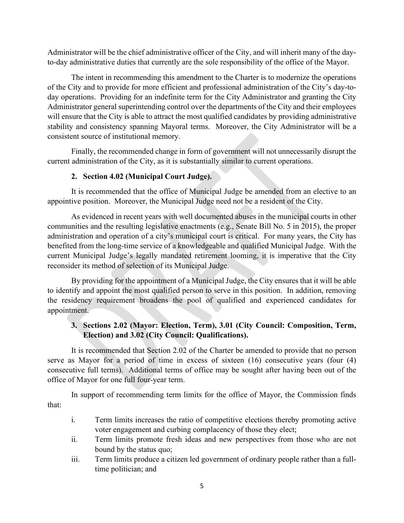Administrator will be the chief administrative officer of the City, and will inherit many of the dayto-day administrative duties that currently are the sole responsibility of the office of the Mayor.

The intent in recommending this amendment to the Charter is to modernize the operations of the City and to provide for more efficient and professional administration of the City's day-today operations. Providing for an indefinite term for the City Administrator and granting the City Administrator general superintending control over the departments of the City and their employees will ensure that the City is able to attract the most qualified candidates by providing administrative stability and consistency spanning Mayoral terms. Moreover, the City Administrator will be a consistent source of institutional memory.

Finally, the recommended change in form of government will not unnecessarily disrupt the current administration of the City, as it is substantially similar to current operations.

# **2. Section 4.02 (Municipal Court Judge).**

It is recommended that the office of Municipal Judge be amended from an elective to an appointive position. Moreover, the Municipal Judge need not be a resident of the City.

As evidenced in recent years with well documented abuses in the municipal courts in other communities and the resulting legislative enactments (e.g., Senate Bill No. 5 in 2015), the proper administration and operation of a city's municipal court is critical. For many years, the City has benefited from the long-time service of a knowledgeable and qualified Municipal Judge. With the current Municipal Judge's legally mandated retirement looming, it is imperative that the City reconsider its method of selection of its Municipal Judge.

By providing for the appointment of a Municipal Judge, the City ensures that it will be able to identify and appoint the most qualified person to serve in this position. In addition, removing the residency requirement broadens the pool of qualified and experienced candidates for appointment.

# **3. Sections 2.02 (Mayor: Election, Term), 3.01 (City Council: Composition, Term, Election) and 3.02 (City Council: Qualifications).**

It is recommended that Section 2.02 of the Charter be amended to provide that no person serve as Mayor for a period of time in excess of sixteen (16) consecutive years (four (4) consecutive full terms). Additional terms of office may be sought after having been out of the office of Mayor for one full four-year term.

In support of recommending term limits for the office of Mayor, the Commission finds that:

- i. Term limits increases the ratio of competitive elections thereby promoting active voter engagement and curbing complacency of those they elect;
- ii. Term limits promote fresh ideas and new perspectives from those who are not bound by the status quo;
- iii. Term limits produce a citizen led government of ordinary people rather than a fulltime politician; and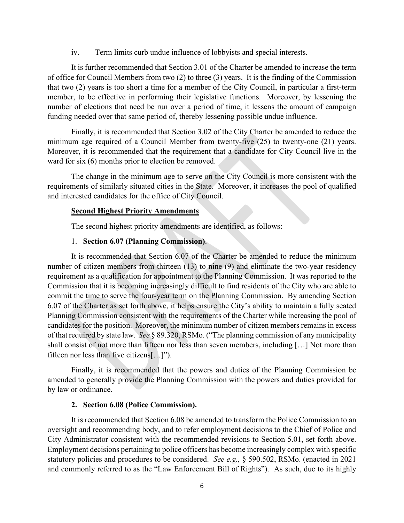iv. Term limits curb undue influence of lobbyists and special interests.

It is further recommended that Section 3.01 of the Charter be amended to increase the term of office for Council Members from two (2) to three (3) years. It is the finding of the Commission that two (2) years is too short a time for a member of the City Council, in particular a first-term member, to be effective in performing their legislative functions. Moreover, by lessening the number of elections that need be run over a period of time, it lessens the amount of campaign funding needed over that same period of, thereby lessening possible undue influence.

Finally, it is recommended that Section 3.02 of the City Charter be amended to reduce the minimum age required of a Council Member from twenty-five (25) to twenty-one (21) years. Moreover, it is recommended that the requirement that a candidate for City Council live in the ward for six (6) months prior to election be removed.

The change in the minimum age to serve on the City Council is more consistent with the requirements of similarly situated cities in the State. Moreover, it increases the pool of qualified and interested candidates for the office of City Council.

#### **Second Highest Priority Amendments**

The second highest priority amendments are identified, as follows:

#### 1. **Section 6.07 (Planning Commission)**.

It is recommended that Section 6.07 of the Charter be amended to reduce the minimum number of citizen members from thirteen (13) to nine (9) and eliminate the two-year residency requirement as a qualification for appointment to the Planning Commission. It was reported to the Commission that it is becoming increasingly difficult to find residents of the City who are able to commit the time to serve the four-year term on the Planning Commission. By amending Section 6.07 of the Charter as set forth above, it helps ensure the City's ability to maintain a fully seated Planning Commission consistent with the requirements of the Charter while increasing the pool of candidates for the position. Moreover, the minimum number of citizen members remains in excess of that required by state law. *See* § 89.320, RSMo. ("The planning commission of any municipality shall consist of not more than fifteen nor less than seven members, including […] Not more than fifteen nor less than five citizens[…]").

Finally, it is recommended that the powers and duties of the Planning Commission be amended to generally provide the Planning Commission with the powers and duties provided for by law or ordinance.

#### **2. Section 6.08 (Police Commission).**

It is recommended that Section 6.08 be amended to transform the Police Commission to an oversight and recommending body, and to refer employment decisions to the Chief of Police and City Administrator consistent with the recommended revisions to Section 5.01, set forth above. Employment decisions pertaining to police officers has become increasingly complex with specific statutory policies and procedures to be considered. *See e.g.,* § 590.502, RSMo. (enacted in 2021 and commonly referred to as the "Law Enforcement Bill of Rights"). As such, due to its highly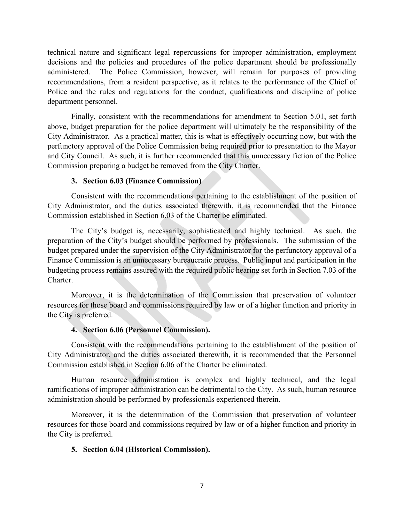technical nature and significant legal repercussions for improper administration, employment decisions and the policies and procedures of the police department should be professionally administered. The Police Commission, however, will remain for purposes of providing recommendations, from a resident perspective, as it relates to the performance of the Chief of Police and the rules and regulations for the conduct, qualifications and discipline of police department personnel.

Finally, consistent with the recommendations for amendment to Section 5.01, set forth above, budget preparation for the police department will ultimately be the responsibility of the City Administrator. As a practical matter, this is what is effectively occurring now, but with the perfunctory approval of the Police Commission being required prior to presentation to the Mayor and City Council. As such, it is further recommended that this unnecessary fiction of the Police Commission preparing a budget be removed from the City Charter.

### **3. Section 6.03 (Finance Commission)**

Consistent with the recommendations pertaining to the establishment of the position of City Administrator, and the duties associated therewith, it is recommended that the Finance Commission established in Section 6.03 of the Charter be eliminated.

The City's budget is, necessarily, sophisticated and highly technical. As such, the preparation of the City's budget should be performed by professionals. The submission of the budget prepared under the supervision of the City Administrator for the perfunctory approval of a Finance Commission is an unnecessary bureaucratic process. Public input and participation in the budgeting process remains assured with the required public hearing set forth in Section 7.03 of the Charter.

Moreover, it is the determination of the Commission that preservation of volunteer resources for those board and commissions required by law or of a higher function and priority in the City is preferred.

#### **4. Section 6.06 (Personnel Commission).**

Consistent with the recommendations pertaining to the establishment of the position of City Administrator, and the duties associated therewith, it is recommended that the Personnel Commission established in Section 6.06 of the Charter be eliminated.

Human resource administration is complex and highly technical, and the legal ramifications of improper administration can be detrimental to the City. As such, human resource administration should be performed by professionals experienced therein.

Moreover, it is the determination of the Commission that preservation of volunteer resources for those board and commissions required by law or of a higher function and priority in the City is preferred.

#### **5. Section 6.04 (Historical Commission).**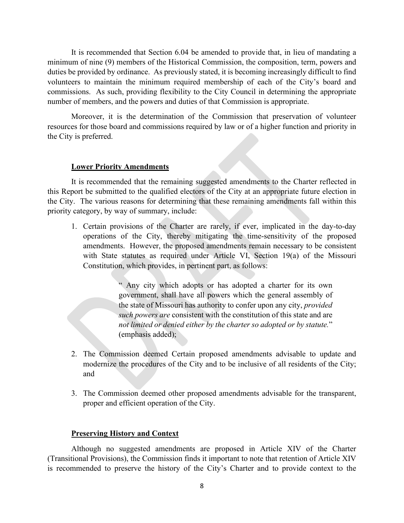It is recommended that Section 6.04 be amended to provide that, in lieu of mandating a minimum of nine (9) members of the Historical Commission, the composition, term, powers and duties be provided by ordinance. As previously stated, it is becoming increasingly difficult to find volunteers to maintain the minimum required membership of each of the City's board and commissions. As such, providing flexibility to the City Council in determining the appropriate number of members, and the powers and duties of that Commission is appropriate.

Moreover, it is the determination of the Commission that preservation of volunteer resources for those board and commissions required by law or of a higher function and priority in the City is preferred.

#### **Lower Priority Amendments**

It is recommended that the remaining suggested amendments to the Charter reflected in this Report be submitted to the qualified electors of the City at an appropriate future election in the City. The various reasons for determining that these remaining amendments fall within this priority category, by way of summary, include:

1. Certain provisions of the Charter are rarely, if ever, implicated in the day-to-day operations of the City, thereby mitigating the time-sensitivity of the proposed amendments. However, the proposed amendments remain necessary to be consistent with State statutes as required under Article VI, Section 19(a) of the Missouri Constitution, which provides, in pertinent part, as follows:

> " Any city which adopts or has adopted a charter for its own government, shall have all powers which the general assembly of the state of Missouri has authority to confer upon any city, *provided such powers are* consistent with the constitution of this state and are *not limited or denied either by the charter so adopted or by statute.*" (emphasis added);

- 2. The Commission deemed Certain proposed amendments advisable to update and modernize the procedures of the City and to be inclusive of all residents of the City; and
- 3. The Commission deemed other proposed amendments advisable for the transparent, proper and efficient operation of the City.

#### **Preserving History and Context**

Although no suggested amendments are proposed in Article XIV of the Charter (Transitional Provisions), the Commission finds it important to note that retention of Article XIV is recommended to preserve the history of the City's Charter and to provide context to the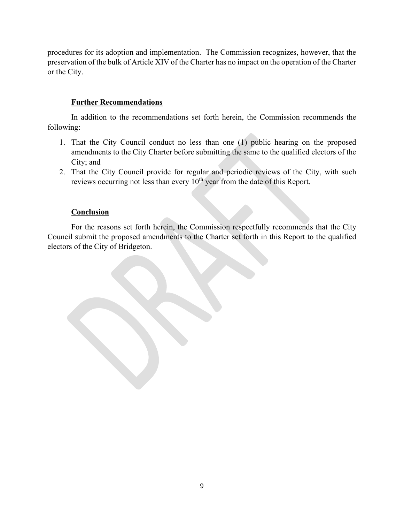procedures for its adoption and implementation. The Commission recognizes, however, that the preservation of the bulk of Article XIV of the Charter has no impact on the operation of the Charter or the City.

# **Further Recommendations**

In addition to the recommendations set forth herein, the Commission recommends the following:

- 1. That the City Council conduct no less than one (1) public hearing on the proposed amendments to the City Charter before submitting the same to the qualified electors of the City; and
- 2. That the City Council provide for regular and periodic reviews of the City, with such reviews occurring not less than every  $10<sup>th</sup>$  year from the date of this Report.

# **Conclusion**

For the reasons set forth herein, the Commission respectfully recommends that the City Council submit the proposed amendments to the Charter set forth in this Report to the qualified electors of the City of Bridgeton.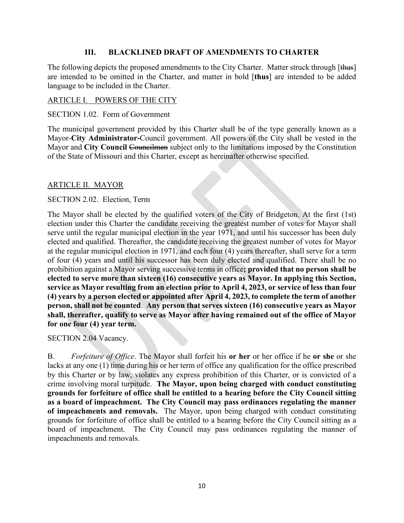# **III. BLACKLINED DRAFT OF AMENDMENTS TO CHARTER**

The following depicts the proposed amendments to the City Charter. Matter struck through [thus] are intended to be omitted in the Charter, and matter in bold [**thus**] are intended to be added language to be included in the Charter.

# ARTICLE I. POWERS OF THE CITY

# SECTION 1.02. Form of Government

The municipal government provided by this Charter shall be of the type generally known as a Mayor-**City Administrator-**Council government. All powers of the City shall be vested in the Mayor and City Council Councilmen subject only to the limitations imposed by the Constitution of the State of Missouri and this Charter, except as hereinafter otherwise specified.

# ARTICLE II. MAYOR

# SECTION 2.02. Election, Term

The Mayor shall be elected by the qualified voters of the City of Bridgeton. At the first (1st) election under this Charter the candidate receiving the greatest number of votes for Mayor shall serve until the regular municipal election in the year 1971, and until his successor has been duly elected and qualified. Thereafter, the candidate receiving the greatest number of votes for Mayor at the regular municipal election in 1971, and each four (4) years thereafter, shall serve for a term of four (4) years and until his successor has been duly elected and qualified. There shall be no prohibition against a Mayor serving successive terms in office**; provided that no person shall be elected to serve more than sixteen (16) consecutive years as Mayor. In applying this Section, service as Mayor resulting from an election prior to April 4, 2023, or service of less than four (4) years by a person elected or appointed after April 4, 2023, to complete the term of another person, shall not be counted**. **Any person that serves sixteen (16) consecutive years as Mayor shall, thereafter, qualify to serve as Mayor after having remained out of the office of Mayor for one four (4) year term.**

SECTION 2.04 Vacancy.

B. *Forfeiture of Office*. The Mayor shall forfeit his **or her** or her office if he **or she** or she lacks at any one (1) time during his or her term of office any qualification for the office prescribed by this Charter or by law, violates any express prohibition of this Charter, or is convicted of a crime involving moral turpitude. **The Mayor, upon being charged with conduct constituting grounds for forfeiture of office shall be entitled to a hearing before the City Council sitting as a board of impeachment. The City Council may pass ordinances regulating the manner of impeachments and removals.** The Mayor, upon being charged with conduct constituting grounds for forfeiture of office shall be entitled to a hearing before the City Council sitting as a board of impeachment. The City Council may pass ordinances regulating the manner of impeachments and removals.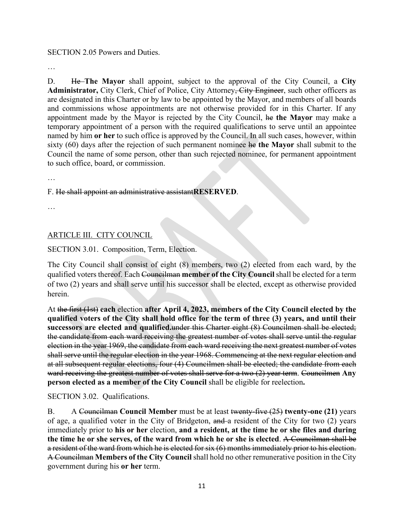# SECTION 2.05 Powers and Duties.

…

D. He **The Mayor** shall appoint, subject to the approval of the City Council, a **City**  Administrator, City Clerk, Chief of Police, City Attorney<del>, City Engineer</del>, such other officers as are designated in this Charter or by law to be appointed by the Mayor, and members of all boards and commissions whose appointments are not otherwise provided for in this Charter. If any appointment made by the Mayor is rejected by the City Council, he **the Mayor** may make a temporary appointment of a person with the required qualifications to serve until an appointee named by him **or her** to such office is approved by the Council. In all such cases, however, within sixty (60) days after the rejection of such permanent nominee he **the Mayor** shall submit to the Council the name of some person, other than such rejected nominee, for permanent appointment to such office, board, or commission.

…

# F. He shall appoint an administrative assistant**RESERVED**.

…

# ARTICLE III. CITY COUNCIL

SECTION 3.01. Composition, Term, Election.

The City Council shall consist of eight (8) members, two (2) elected from each ward, by the qualified voters thereof. Each Councilman **member of the City Council** shall be elected for a term of two (2) years and shall serve until his successor shall be elected, except as otherwise provided herein.

At the first (1st) **each** election **after April 4, 2023, members of the City Council elected by the qualified voters of the City shall hold office for the term of three (3) years, and until their successors are elected and qualified.**under this Charter eight (8) Councilmen shall be elected; the candidate from each ward receiving the greatest number of votes shall serve until the regular election in the year 1969, the candidate from each ward receiving the next greatest number of votes shall serve until the regular election in the year 1968. Commencing at the next regular election and at all subsequent regular elections, four (4) Councilmen shall be elected; the candidate from each ward receiving the greatest number of votes shall serve for a two (2) year term. Councilmen **Any person elected as a member of the City Council** shall be eligible for reelection**.**

SECTION 3.02. Qualifications.

B. A Councilman **Council Member** must be at least twenty-five (25) **twenty-one (21)** years of age, a qualified voter in the City of Bridgeton, and a resident of the City for two (2) years immediately prior to **his or her** election, **and a resident, at the time he or she files and during the time he or she serves, of the ward from which he or she is elected**. A Councilman shall be a resident of the ward from which he is elected for six (6) months immediately prior to his election. A Councilman **Members of the City Council** shall hold no other remunerative position in the City government during his **or her** term.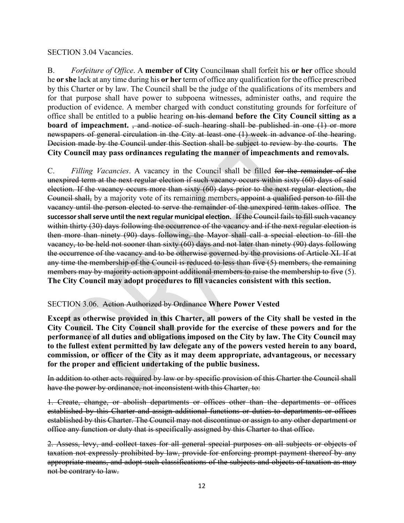### SECTION 3.04 Vacancies.

B. *Forfeiture of Office*. A **member of City** Councilman shall forfeit his **or her** office should he **or she** lack at any time during his **or her** term of office any qualification for the office prescribed by this Charter or by law. The Council shall be the judge of the qualifications of its members and for that purpose shall have power to subpoena witnesses, administer oaths, and require the production of evidence. A member charged with conduct constituting grounds for forfeiture of office shall be entitled to a public hearing on his demand **before the City Council sitting as a board of impeachment.** , and notice of such hearing shall be published in one (1) or more newspapers of general circulation in the City at least one (1) week in advance of the hearing. Decision made by the Council under this Section shall be subject to review by the courts. **The City Council may pass ordinances regulating the manner of impeachments and removals.** 

C. *Filling Vacancies*. A vacancy in the Council shall be filled for the remainder of the unexpired term at the next regular election if such vacancy occurs within sixty (60) days of said election. If the vacancy occurs more than sixty (60) days prior to the next regular election, the Council shall, by a majority vote of its remaining members, appoint a qualified person to fill the vacancy until the person elected to serve the remainder of the unexpired term takes office. **The successor shall serve until the next regular municipal election.** If the Council fails to fill such vacancy within thirty (30) days following the occurrence of the vacancy and if the next regular election is then more than ninety (90) days following, the Mayor shall call a special election to fill the vacancy, to be held not sooner than sixty (60) days and not later than ninety (90) days following the occurrence of the vacancy and to be otherwise governed by the provisions of Article XI. If at any time the membership of the Council is reduced to less than five (5) members, the remaining members may by majority action appoint additional members to raise the membership to five (5). **The City Council may adopt procedures to fill vacancies consistent with this section.** 

# SECTION 3.06. Action Authorized by Ordinance **Where Power Vested**

**Except as otherwise provided in this Charter, all powers of the City shall be vested in the City Council. The City Council shall provide for the exercise of these powers and for the performance of all duties and obligations imposed on the City by law. The City Council may to the fullest extent permitted by law delegate any of the powers vested herein to any board, commission, or officer of the City as it may deem appropriate, advantageous, or necessary for the proper and efficient undertaking of the public business.**

In addition to other acts required by law or by specific provision of this Charter the Council shall have the power by ordinance, not inconsistent with this Charter, to:

1. Create, change, or abolish departments or offices other than the departments or offices established by this Charter and assign additional functions or duties to departments or offices established by this Charter. The Council may not discontinue or assign to any other department or office any function or duty that is specifically assigned by this Charter to that office.

2. Assess, levy, and collect taxes for all general special purposes on all subjects or objects of taxation not expressly prohibited by law, provide for enforcing prompt payment thereof by any appropriate means, and adopt such classifications of the subjects and objects of taxation as may not be contrary to law.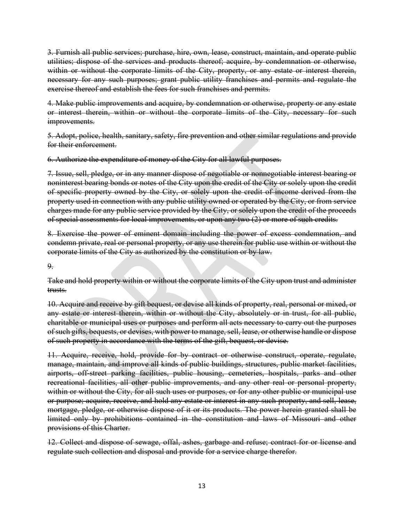3. Furnish all public services; purchase, hire, own, lease, construct, maintain, and operate public utilities; dispose of the services and products thereof; acquire, by condemnation or otherwise, within or without the corporate limits of the City, property, or any estate or interest therein, necessary for any such purposes; grant public utility franchises and permits and regulate the exercise thereof and establish the fees for such franchises and permits.

4. Make public improvements and acquire, by condemnation or otherwise, property or any estate or interest therein, within or without the corporate limits of the City, necessary for such improvements.

5. Adopt, police, health, sanitary, safety, fire prevention and other similar regulations and provide for their enforcement.

6. Authorize the expenditure of money of the City for all lawful purposes.

7. Issue, sell, pledge, or in any manner dispose of negotiable or nonnegotiable interest bearing or noninterest bearing bonds or notes of the City upon the credit of the City or solely upon the credit of specific property owned by the City, or solely upon the credit of income derived from the property used in connection with any public utility owned or operated by the City, or from service charges made for any public service provided by the City, or solely upon the credit of the proceeds of special assessments for local improvements, or upon any two  $(2)$  or more of such credits.

8. Exercise the power of eminent domain including the power of excess condemnation, and condemn private, real or personal property, or any use therein for public use within or without the corporate limits of the City as authorized by the constitution or by law.

 $\mathbf{Q}_2$ 

Take and hold property within or without the corporate limits of the City upon trust and administer trusts.

10. Acquire and receive by gift bequest, or devise all kinds of property, real, personal or mixed, or any estate or interest therein, within or without the City, absolutely or in trust, for all public, charitable or municipal uses or purposes and perform all acts necessary to carry out the purposes of such gifts, bequests, or devises, with power to manage, sell, lease, or otherwise handle or dispose of such property in accordance with the terms of the gift, bequest, or devise.

11. Acquire, receive, hold, provide for by contract or otherwise construct, operate, regulate, manage, maintain, and improve all kinds of public buildings, structures, public market facilities, airports, off-street parking facilities, public housing, cemeteries, hospitals, parks and other recreational facilities, all other public improvements, and any other real or personal property, within or without the City, for all such uses or purposes, or for any other public or municipal use or purpose; acquire, receive, and hold any estate or interest in any such property, and sell, lease, mortgage, pledge, or otherwise dispose of it or its products. The power herein granted shall be limited only by prohibitions contained in the constitution and laws of Missouri and other provisions of this Charter.

12. Collect and dispose of sewage, offal, ashes, garbage and refuse; contract for or license and regulate such collection and disposal and provide for a service charge therefor.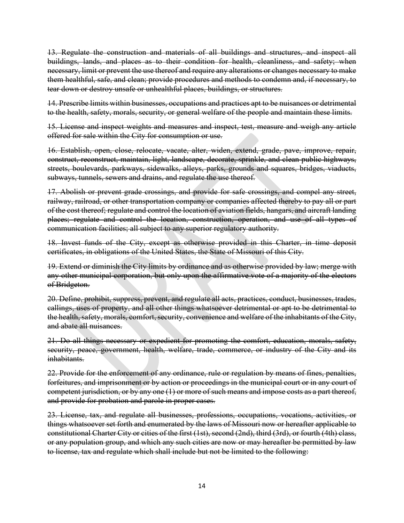13. Regulate the construction and materials of all buildings and structures, and inspect all buildings, lands, and places as to their condition for health, cleanliness, and safety; when necessary, limit or prevent the use thereof and require any alterations or changes necessary to make them healthful, safe, and clean; provide procedures and methods to condemn and, if necessary, to tear down or destroy unsafe or unhealthful places, buildings, or structures.

14. Prescribe limits within businesses, occupations and practices apt to be nuisances or detrimental to the health, safety, morals, security, or general welfare of the people and maintain these limits.

15. License and inspect weights and measures and inspect, test, measure and weigh any article offered for sale within the City for consumption or use.

16. Establish, open, close, relocate, vacate, alter, widen, extend, grade, pave, improve, repair, construct, reconstruct, maintain, light, landscape, decorate, sprinkle, and clean public highways, streets, boulevards, parkways, sidewalks, alleys, parks, grounds and squares, bridges, viaducts, subways, tunnels, sewers and drains, and regulate the use thereof.

17. Abolish or prevent grade crossings, and provide for safe crossings, and compel any street, railway, railroad, or other transportation company or companies affected thereby to pay all or part of the cost thereof; regulate and control the location of aviation fields, hangars, and aircraft landing places; regulate and control the location, construction, operation, and use of all types of communication facilities; all subject to any superior regulatory authority.

18. Invest funds of the City, except as otherwise provided in this Charter, in time deposit certificates, in obligations of the United States, the State of Missouri of this City.

19. Extend or diminish the City limits by ordinance and as otherwise provided by law; merge with any other municipal corporation, but only upon the affirmative vote of a majority of the electors of Bridgeton.

20. Define, prohibit, suppress, prevent, and regulate all acts, practices, conduct, businesses, trades, callings, uses of property, and all other things whatsoever detrimental or apt to be detrimental to the health, safety, morals, comfort, security, convenience and welfare of the inhabitants of the City, and abate all nuisances.

21. Do all things necessary or expedient for promoting the comfort, education, morals, safety, security, peace, government, health, welfare, trade, commerce, or industry of the City and its inhabitants.

22. Provide for the enforcement of any ordinance, rule or regulation by means of fines, penalties, forfeitures, and imprisonment or by action or proceedings in the municipal court or in any court of competent jurisdiction, or by any one (1) or more of such means and impose costs as a part thereof, and provide for probation and parole in proper cases.

23. License, tax, and regulate all businesses, professions, occupations, vocations, activities, or things whatsoever set forth and enumerated by the laws of Missouri now or hereafter applicable to constitutional Charter City or cities of the first (1st), second (2nd), third (3rd), or fourth (4th) class, or any population group, and which any such cities are now or may hereafter be permitted by law to license, tax and regulate which shall include but not be limited to the following: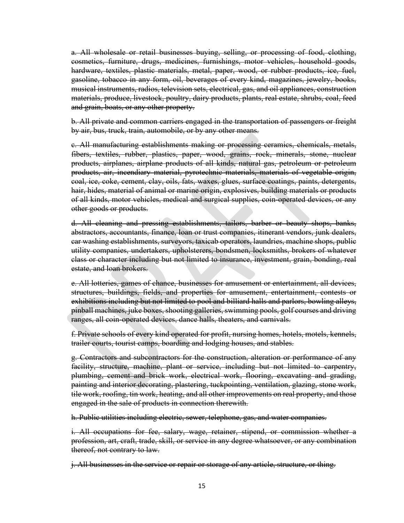a. All wholesale or retail businesses buying, selling, or processing of food, clothing, cosmetics, furniture, drugs, medicines, furnishings, motor vehicles, household goods, hardware, textiles, plastic materials, metal, paper, wood, or rubber products, ice, fuel, gasoline, tobacco in any form, oil, beverages of every kind, magazines, jewelry, books, musical instruments, radios, television sets, electrical, gas, and oil appliances, construction materials, produce, livestock, poultry, dairy products, plants, real estate, shrubs, coal, feed and grain, boats, or any other property.

b. All private and common carriers engaged in the transportation of passengers or freight by air, bus, truck, train, automobile, or by any other means.

c. All manufacturing establishments making or processing ceramics, chemicals, metals, fibers, textiles, rubber, plastics, paper, wood, grains, rock, minerals, stone, nuclear products, airplanes, airplane products of all kinds, natural gas, petroleum or petroleum products, air, incendiary material, pyrotechnic materials, materials of vegetable origin, coal, ice, coke, cement, clay, oils, fats, waxes, glues, surface coatings, paints, detergents, hair, hides, material of animal or marine origin, explosives, building materials or products of all kinds, motor vehicles, medical and surgical supplies, coin-operated devices, or any other goods or products.

d. All cleaning and pressing establishments, tailors, barber or beauty shops, banks, abstractors, accountants, finance, loan or trust companies, itinerant vendors, junk dealers, car washing establishments, surveyors, taxicab operators, laundries, machine shops, public utility companies, undertakers, upholsterers, bondsmen, locksmiths, brokers of whatever class or character including but not limited to insurance, investment, grain, bonding, real estate, and loan brokers.

e. All lotteries, games of chance, businesses for amusement or entertainment, all devices, structures, buildings, fields, and properties for amusement, entertainment, contests or exhibitions including but not limited to pool and billiard halls and parlors, bowling alleys, pinball machines, juke boxes, shooting galleries, swimming pools, golf courses and driving ranges, all coin-operated devices, dance halls, theaters, and carnivals.

f. Private schools of every kind operated for profit, nursing homes, hotels, motels, kennels, trailer courts, tourist camps, boarding and lodging houses, and stables.

g. Contractors and subcontractors for the construction, alteration or performance of any facility, structure, machine, plant or service, including but not limited to carpentry, plumbing, cement and brick work, electrical work, flooring, excavating and grading, painting and interior decorating, plastering, tuckpointing, ventilation, glazing, stone work, tile work, roofing, tin work, heating, and all other improvements on real property, and those engaged in the sale of products in connection therewith.

h. Public utilities including electric, sewer, telephone, gas, and water companies.

i. All occupations for fee, salary, wage, retainer, stipend, or commission whether a profession, art, craft, trade, skill, or service in any degree whatsoever, or any combination thereof, not contrary to law.

j. All businesses in the service or repair or storage of any article, structure, or thing.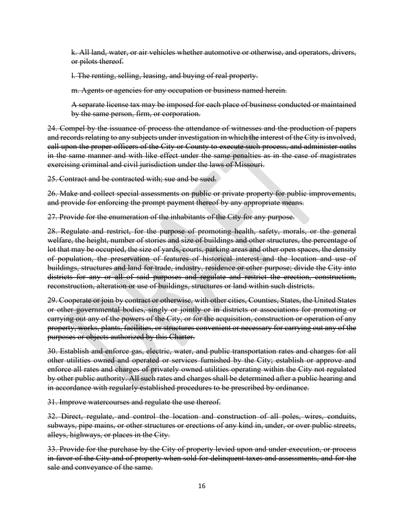k. All land, water, or air vehicles whether automotive or otherwise, and operators, drivers, or pilots thereof.

l. The renting, selling, leasing, and buying of real property.

m. Agents or agencies for any occupation or business named herein.

A separate license tax may be imposed for each place of business conducted or maintained by the same person, firm, or corporation.

24. Compel by the issuance of process the attendance of witnesses and the production of papers and records relating to any subjects under investigation in which the interest of the City is involved, call upon the proper officers of the City or County to execute such process, and administer oaths in the same manner and with like effect under the same penalties as in the case of magistrates exercising criminal and civil jurisdiction under the laws of Missouri.

25. Contract and be contracted with; sue and be sued.

26. Make and collect special assessments on public or private property for public improvements, and provide for enforcing the prompt payment thereof by any appropriate means.

27. Provide for the enumeration of the inhabitants of the City for any purpose.

28. Regulate and restrict, for the purpose of promoting health, safety, morals, or the general welfare, the height, number of stories and size of buildings and other structures, the percentage of lot that may be occupied, the size of yards, courts, parking areas and other open spaces, the density of population, the preservation of features of historical interest and the location and use of buildings, structures and land for trade, industry, residence or other purpose; divide the City into districts for any or all of said purposes and regulate and restrict the erection, construction, reconstruction, alteration or use of buildings, structures or land within such districts.

29. Cooperate or join by contract or otherwise, with other cities, Counties, States, the United States or other governmental bodies, singly or jointly or in districts or associations for promoting or carrying out any of the powers of the City, or for the acquisition, construction or operation of any property, works, plants, facilities, or structures convenient or necessary for carrying out any of the purposes or objects authorized by this Charter.

30. Establish and enforce gas, electric, water, and public transportation rates and charges for all other utilities owned and operated or services furnished by the City; establish or approve and enforce all rates and charges of privately owned utilities operating within the City not regulated by other public authority. All such rates and charges shall be determined after a public hearing and in accordance with regularly established procedures to be prescribed by ordinance.

31. Improve watercourses and regulate the use thereof.

32. Direct, regulate, and control the location and construction of all poles, wires, conduits, subways, pipe mains, or other structures or erections of any kind in, under, or over public streets, alleys, highways, or places in the City.

33. Provide for the purchase by the City of property levied upon and under execution, or process in favor of the City and of property when sold for delinquent taxes and assessments, and for the sale and conveyance of the same.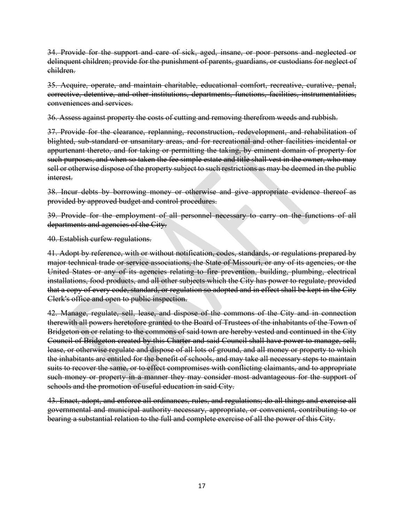34. Provide for the support and care of sick, aged, insane, or poor persons and neglected or delinquent children; provide for the punishment of parents, guardians, or custodians for neglect of children.

35. Acquire, operate, and maintain charitable, educational comfort, recreative, curative, penal, corrective, detentive, and other institutions, departments, functions, facilities, instrumentalities, conveniences and services.

36. Assess against property the costs of cutting and removing therefrom weeds and rubbish.

37. Provide for the clearance, replanning, reconstruction, redevelopment, and rehabilitation of blighted, sub-standard or unsanitary areas, and for recreational and other facilities incidental or appurtenant thereto, and for taking or permitting the taking, by eminent domain of property for such purposes, and when so taken the fee simple estate and title shall vest in the owner, who may sell or otherwise dispose of the property subject to such restrictions as may be deemed in the public interest.

38. Incur debts by borrowing money or otherwise and give appropriate evidence thereof as provided by approved budget and control procedures.

39. Provide for the employment of all personnel necessary to carry on the functions of all departments and agencies of the City.

40. Establish curfew regulations.

41. Adopt by reference, with or without notification, codes, standards, or regulations prepared by major technical trade or service associations, the State of Missouri, or any of its agencies, or the United States or any of its agencies relating to fire prevention, building, plumbing, electrical installations, food products, and all other subjects which the City has power to regulate, provided that a copy of every code, standard, or regulation so adopted and in effect shall be kept in the City Clerk's office and open to public inspection.

42. Manage, regulate, sell, lease, and dispose of the commons of the City and in connection therewith all powers heretofore granted to the Board of Trustees of the inhabitants of the Town of Bridgeton on or relating to the commons of said town are hereby vested and continued in the City Council of Bridgeton created by this Charter and said Council shall have power to manage, sell, lease, or otherwise regulate and dispose of all lots of ground, and all money or property to which the inhabitants are entitled for the benefit of schools, and may take all necessary steps to maintain suits to recover the same, or to effect compromises with conflicting claimants, and to appropriate such money or property in a manner they may consider most advantageous for the support of schools and the promotion of useful education in said City.

43. Enact, adopt, and enforce all ordinances, rules, and regulations; do all things and exercise all governmental and municipal authority necessary, appropriate, or convenient, contributing to or bearing a substantial relation to the full and complete exercise of all the power of this City.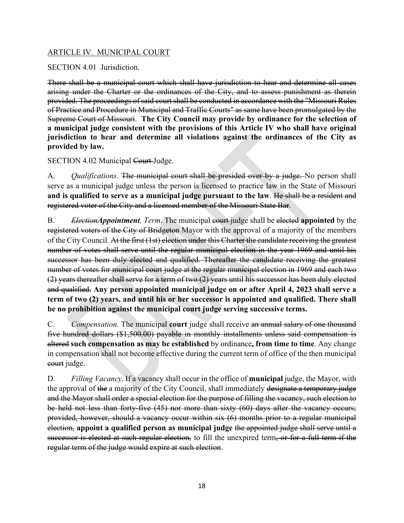# ARTICLE IV. MUNICIPAL COURT

SECTION 4.01 Jurisdiction.

There shall be a municipal court which shall have jurisdiction to hear and determine all cases arising under the Charter or the ordinances of the City, and to assess punishment as therein provided. The proceedings of said court shall be conducted in accordance with the "Missouri Rules of Practice and Procedure in Municipal and Traffic Courts" as same have been promulgated by the Supreme Court of Missouri. **The City Council may provide by ordinance for the selection of a municipal judge consistent with the provisions of this Article IV who shall have original jurisdiction to hear and determine all violations against the ordinances of the City as provided by law.**

SECTION 4.02 Municipal Court-Judge.

A. *Qualifications*. The municipal court shall be presided over by a judge. No person shall serve as a municipal judge unless the person is licensed to practice law in the State of Missouri **and is qualified to serve as a municipal judge pursuant to the law**. He shall be a resident and registered voter of the City and a licensed member of the Missouri State Bar.

B. *ElectionAppointment, Term*. The municipal court judge shall be elected **appointed** by the registered voters of the City of Bridgeton Mayor with the approval of a majority of the members of the City Council. At the first (1st) election under this Charter the candidate receiving the greatest number of votes shall serve until the regular municipal election in the year 1969 and until his successor has been duly elected and qualified. Thereafter the candidate receiving the greatest number of votes for municipal court judge at the regular municipal election in 1969 and each two (2) years thereafter shall serve for a term of two (2) years until his successor has been duly elected and qualified. **Any person appointed municipal judge on or after April 4, 2023 shall serve a term of two (2) years, and until his or her successor is appointed and qualified. There shall be no prohibition against the municipal court judge serving successive terms.**

C. *Compensation*. The municipal **court** judge shall receive an annual salary of one thousand five hundred dollars (\$1,500.00) payable in monthly installments unless said compensation is altered **such compensation as may be established** by ordinance**, from time to time**. Any change in compensation shall not become effective during the current term of office of the then municipal court judge.

D. *Filling Vacancy*. If a vacancy shall occur in the office of **municipal** judge, the Mayor, with the approval of the a majority of the City Council, shall immediately designate a temporary judge and the Mayor shall order a special election for the purpose of filling the vacancy, such election to be held not less than forty-five (45) nor more than sixty (60) days after the vacancy occurs; provided, however, should a vacancy occur within six (6) months prior to a regular municipal election, **appoint a qualified person as municipal judge** the appointed judge shall serve until a successor is elected at such regular election, to fill the unexpired term, or for a full term if the regular term of the judge would expire at such election.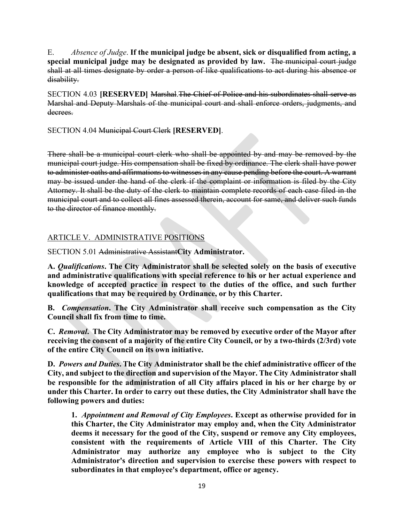E. *Absence of Judge*. **If the municipal judge be absent, sick or disqualified from acting, a special municipal judge may be designated as provided by law.** The municipal court judge shall at all times designate by order a person of like qualifications to act during his absence or disability.

SECTION 4.03 **[RESERVED]** Marshal.The Chief of Police and his subordinates shall serve as Marshal and Deputy Marshals of the municipal court and shall enforce orders, judgments, and decrees.

SECTION 4.04 Municipal Court Clerk **[RESERVED]**.

There shall be a municipal court clerk who shall be appointed by and may be removed by the municipal court judge. His compensation shall be fixed by ordinance. The clerk shall have power to administer oaths and affirmations to witnesses in any cause pending before the court. A warrant may be issued under the hand of the clerk if the complaint or information is filed by the City Attorney. It shall be the duty of the clerk to maintain complete records of each case filed in the municipal court and to collect all fines assessed therein, account for same, and deliver such funds to the director of finance monthly.

# ARTICLE V. ADMINISTRATIVE POSITIONS

SECTION 5.01 Administrative Assistant**City Administrator.**

**A.** *Qualifications***. The City Administrator shall be selected solely on the basis of executive and administrative qualifications with special reference to his or her actual experience and knowledge of accepted practice in respect to the duties of the office, and such further qualifications that may be required by Ordinance, or by this Charter.**

**B.** *Compensation***. The City Administrator shall receive such compensation as the City Council shall fix from time to time.**

**C.** *Removal***. The City Administrator may be removed by executive order of the Mayor after receiving the consent of a majority of the entire City Council, or by a two-thirds (2/3rd) vote of the entire City Council on its own initiative.**

**D.** *Powers and Duties***. The City Administrator shall be the chief administrative officer of the City, and subject to the direction and supervision of the Mayor. The City Administrator shall be responsible for the administration of all City affairs placed in his or her charge by or under this Charter. In order to carry out these duties, the City Administrator shall have the following powers and duties:**

**1.** *Appointment and Removal of City Employees***. Except as otherwise provided for in this Charter, the City Administrator may employ and, when the City Administrator deems it necessary for the good of the City, suspend or remove any City employees, consistent with the requirements of Article VIII of this Charter. The City Administrator may authorize any employee who is subject to the City Administrator's direction and supervision to exercise these powers with respect to subordinates in that employee's department, office or agency.**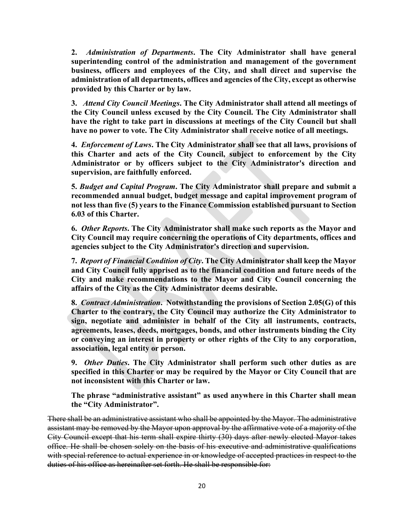**2.** *Administration of Departments***. The City Administrator shall have general superintending control of the administration and management of the government business, officers and employees of the City, and shall direct and supervise the administration of all departments, offices and agencies of the City, except as otherwise provided by this Charter or by law.**

**3.** *Attend City Council Meetings***. The City Administrator shall attend all meetings of the City Council unless excused by the City Council. The City Administrator shall have the right to take part in discussions at meetings of the City Council but shall have no power to vote. The City Administrator shall receive notice of all meetings.**

**4.** *Enforcement of Laws***. The City Administrator shall see that all laws, provisions of this Charter and acts of the City Council, subject to enforcement by the City Administrator or by officers subject to the City Administrator's direction and supervision, are faithfully enforced.**

**5.** *Budget and Capital Program***. The City Administrator shall prepare and submit a recommended annual budget, budget message and capital improvement program of not less than five (5) years to the Finance Commission established pursuant to Section 6.03 of this Charter.**

**6.** *Other Reports***. The City Administrator shall make such reports as the Mayor and City Council may require concerning the operations of City departments, offices and agencies subject to the City Administrator's direction and supervision.**

**7.** *Report of Financial Condition of City***. The City Administrator shall keep the Mayor and City Council fully apprised as to the financial condition and future needs of the City and make recommendations to the Mayor and City Council concerning the affairs of the City as the City Administrator deems desirable.**

**8.** *Contract Administration***. Notwithstanding the provisions of Section 2.05(G) of this Charter to the contrary, the City Council may authorize the City Administrator to sign, negotiate and administer in behalf of the City all instruments, contracts, agreements, leases, deeds, mortgages, bonds, and other instruments binding the City or conveying an interest in property or other rights of the City to any corporation, association, legal entity or person.**

**9.** *Other Duties***. The City Administrator shall perform such other duties as are specified in this Charter or may be required by the Mayor or City Council that are not inconsistent with this Charter or law.**

**The phrase "administrative assistant" as used anywhere in this Charter shall mean the "City Administrator".**

There shall be an administrative assistant who shall be appointed by the Mayor. The administrative assistant may be removed by the Mayor upon approval by the affirmative vote of a majority of the City Council except that his term shall expire thirty (30) days after newly elected Mayor takes office. He shall be chosen solely on the basis of his executive and administrative qualifications with special reference to actual experience in or knowledge of accepted practices in respect to the duties of his office as hereinafter set forth. He shall be responsible for: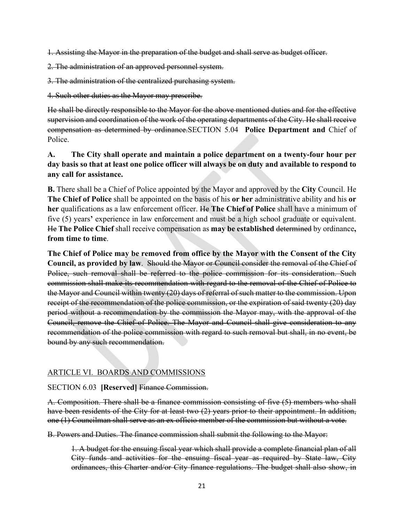1. Assisting the Mayor in the preparation of the budget and shall serve as budget officer.

- 2. The administration of an approved personnel system.
- 3. The administration of the centralized purchasing system.

4. Such other duties as the Mayor may prescribe.

He shall be directly responsible to the Mayor for the above mentioned duties and for the effective supervision and coordination of the work of the operating departments of the City. He shall receive compensation as determined by ordinance.SECTION 5.04 **Police Department and** Chief of Police.

# **A. The City shall operate and maintain a police department on a twenty-four hour per day basis so that at least one police officer will always be on duty and available to respond to any call for assistance.**

**B.** There shall be a Chief of Police appointed by the Mayor and approved by the **City** Council. He **The Chief of Police** shall be appointed on the basis of his **or her** administrative ability and his **or her** qualifications as a law enforcement officer. He **The Chief of Police** shall have a minimum of five (5) years**'** experience in law enforcement and must be a high school graduate or equivalent. He **The Police Chief** shall receive compensation as **may be established** determined by ordinance**, from time to time**.

**The Chief of Police may be removed from office by the Mayor with the Consent of the City Council, as provided by law**. Should the Mayor or Council consider the removal of the Chief of Police, such removal shall be referred to the police commission for its consideration. Such commission shall make its recommendation with regard to the removal of the Chief of Police to the Mayor and Council within twenty (20) days of referral of such matter to the commission. Upon receipt of the recommendation of the police commission, or the expiration of said twenty (20) day period without a recommendation by the commission the Mayor may, with the approval of the Council, remove the Chief of Police. The Mayor and Council shall give consideration to any recommendation of the police commission with regard to such removal but shall, in no event, be bound by any such recommendation.

# ARTICLE VI. BOARDS AND COMMISSIONS

### SECTION 6.03 **[Reserved]** Finance Commission.

A. Composition. There shall be a finance commission consisting of five (5) members who shall have been residents of the City for at least two (2) years prior to their appointment. In addition, one (1) Councilman shall serve as an ex officio member of the commission but without a vote.

B. Powers and Duties. The finance commission shall submit the following to the Mayor:

1. A budget for the ensuing fiscal year which shall provide a complete financial plan of all City funds and activities for the ensuing fiscal year as required by State law, City ordinances, this Charter and/or City finance regulations. The budget shall also show, in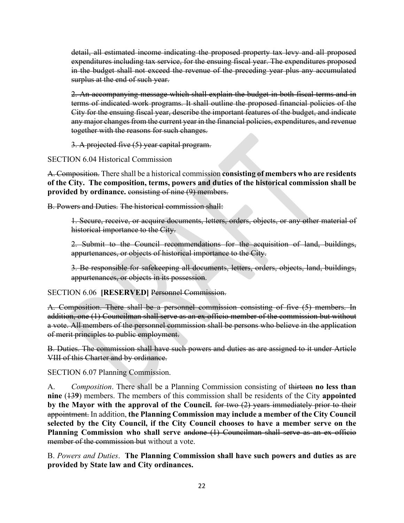detail, all estimated income indicating the proposed property tax levy and all proposed expenditures including tax service, for the ensuing fiscal year. The expenditures proposed in the budget shall not exceed the revenue of the preceding year plus any accumulated surplus at the end of such year.

2. An accompanying message which shall explain the budget in both fiscal terms and in terms of indicated work programs. It shall outline the proposed financial policies of the City for the ensuing fiscal year, describe the important features of the budget, and indicate any major changes from the current year in the financial policies, expenditures, and revenue together with the reasons for such changes.

3. A projected five (5) year capital program.

SECTION 6.04 Historical Commission

A. Composition. There shall be a historical commission **consisting of members who are residents of the City. The composition, terms, powers and duties of the historical commission shall be**  provided by ordinance. consisting of nine (9) members.

B. Powers and Duties. The historical commission shall:

1. Secure, receive, or acquire documents, letters, orders, objects, or any other material of historical importance to the City.

2. Submit to the Council recommendations for the acquisition of land, buildings, appurtenances, or objects of historical importance to the City.

3. Be responsible for safekeeping all documents, letters, orders, objects, land, buildings, appurtenances, or objects in its possession.

SECTION 6.06 **[RESERVED]** Personnel Commission.

A. Composition. There shall be a personnel commission consisting of five (5) members. In addition, one (1) Councilman shall serve as an ex officio member of the commission but without a vote. All members of the personnel commission shall be persons who believe in the application of merit principles to public employment.

B. Duties. The commission shall have such powers and duties as are assigned to it under Article VIII of this Charter and by ordinance.

SECTION 6.07 Planning Commission.

A. *Composition*. There shall be a Planning Commission consisting of thirteen **no less than nine** (13**9**) members. The members of this commission shall be residents of the City **appointed by the Mayor with the approval of the Council.** for two (2) years immediately prior to their appointment. In addition, **the Planning Commission may include a member of the City Council selected by the City Council, if the City Council chooses to have a member serve on the**  Planning Commission who shall serve andone (1) Councilman shall serve as an ex officio member of the commission but without a vote.

B. *Powers and Duties*. **The Planning Commission shall have such powers and duties as are provided by State law and City ordinances.**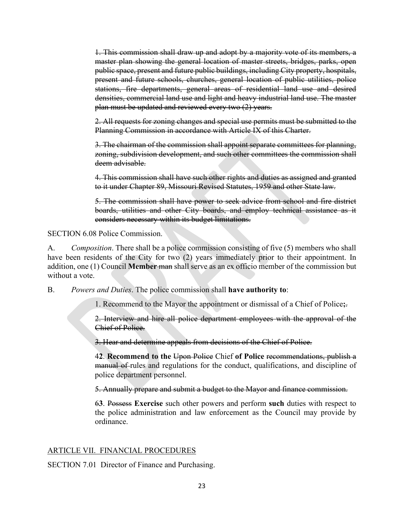1. This commission shall draw up and adopt by a majority vote of its members, a master plan showing the general location of master streets, bridges, parks, open public space, present and future public buildings, including City property, hospitals, present and future schools, churches, general location of public utilities, police stations, fire departments, general areas of residential land use and desired densities, commercial land use and light and heavy industrial land use. The master plan must be updated and reviewed every two (2) years.

2. All requests for zoning changes and special use permits must be submitted to the Planning Commission in accordance with Article IX of this Charter.

3. The chairman of the commission shall appoint separate committees for planning, zoning, subdivision development, and such other committees the commission shall deem advisable.

4. This commission shall have such other rights and duties as assigned and granted to it under Chapter 89, Missouri Revised Statutes, 1959 and other State law.

5. The commission shall have power to seek advice from school and fire district boards, utilities and other City boards, and employ technical assistance as it considers necessary within its budget limitations.

SECTION 6.08 Police Commission.

A. *Composition*. There shall be a police commission consisting of five (5) members who shall have been residents of the City for two (2) years immediately prior to their appointment. In addition, one (1) Council **Member** man shall serve as an ex officio member of the commission but without a vote.

B. *Powers and Duties*. The police commission shall **have authority to**:

1. Recommend to the Mayor the appointment or dismissal of a Chief of Police**;**.

2. Interview and hire all police department employees with the approval of the Chief of Police.

3. Hear and determine appeals from decisions of the Chief of Police.

4**2**. **Recommend to the** Upon Police Chief **of Police** recommendations, publish a manual of rules and regulations for the conduct, qualifications, and discipline of police department personnel.

5. Annually prepare and submit a budget to the Mayor and finance commission.

6**3**. Possess **Exercise** such other powers and perform **such** duties with respect to the police administration and law enforcement as the Council may provide by ordinance.

# ARTICLE VII. FINANCIAL PROCEDURES

SECTION 7.01 Director of Finance and Purchasing.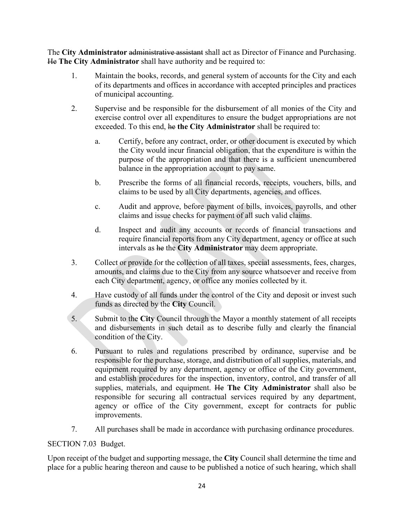The **City Administrator** administrative assistant shall act as Director of Finance and Purchasing. He **The City Administrator** shall have authority and be required to:

- 1. Maintain the books, records, and general system of accounts for the City and each of its departments and offices in accordance with accepted principles and practices of municipal accounting.
- 2. Supervise and be responsible for the disbursement of all monies of the City and exercise control over all expenditures to ensure the budget appropriations are not exceeded. To this end, he **the City Administrator** shall be required to:
	- a. Certify, before any contract, order, or other document is executed by which the City would incur financial obligation, that the expenditure is within the purpose of the appropriation and that there is a sufficient unencumbered balance in the appropriation account to pay same.
	- b. Prescribe the forms of all financial records, receipts, vouchers, bills, and claims to be used by all City departments, agencies, and offices.
	- c. Audit and approve, before payment of bills, invoices, payrolls, and other claims and issue checks for payment of all such valid claims.
	- d. Inspect and audit any accounts or records of financial transactions and require financial reports from any City department, agency or office at such intervals as he the **City Administrator** may deem appropriate.
- 3. Collect or provide for the collection of all taxes, special assessments, fees, charges, amounts, and claims due to the City from any source whatsoever and receive from each City department, agency, or office any monies collected by it.
- 4. Have custody of all funds under the control of the City and deposit or invest such funds as directed by the **City** Council.
- 5. Submit to the **City** Council through the Mayor a monthly statement of all receipts and disbursements in such detail as to describe fully and clearly the financial condition of the City.
- 6. Pursuant to rules and regulations prescribed by ordinance, supervise and be responsible for the purchase, storage, and distribution of all supplies, materials, and equipment required by any department, agency or office of the City government, and establish procedures for the inspection, inventory, control, and transfer of all supplies, materials, and equipment. He **The City Administrator** shall also be responsible for securing all contractual services required by any department, agency or office of the City government, except for contracts for public improvements.
- 7. All purchases shall be made in accordance with purchasing ordinance procedures.

# SECTION 7.03 Budget.

Upon receipt of the budget and supporting message, the **City** Council shall determine the time and place for a public hearing thereon and cause to be published a notice of such hearing, which shall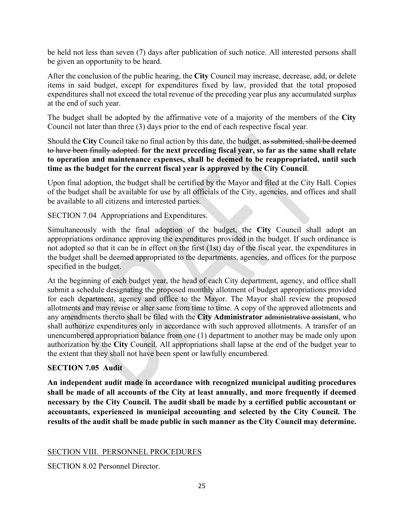be held not less than seven (7) days after publication of such notice. All interested persons shall be given an opportunity to be heard.

After the conclusion of the public hearing, the **City** Council may increase, decrease, add, or delete items in said budget, except for expenditures fixed by law, provided that the total proposed expenditures shall not exceed the total revenue of the preceding year plus any accumulated surplus at the end of such year.

The budget shall be adopted by the affirmative vote of a majority of the members of the **City** Council not later than three (3) days prior to the end of each respective fiscal year.

Should the **City** Council take no final action by this date, the budget, as submitted, shall be deemed to have been finally adopted. **for the next preceding fiscal year, so far as the same shall relate to operation and maintenance expenses, shall be deemed to be reappropriated, until such time as the budget for the current fiscal year is approved by the City Council**.

Upon final adoption, the budget shall be certified by the Mayor and filed at the City Hall. Copies of the budget shall be available for use by all officials of the City, agencies, and offices and shall be available to all citizens and interested parties.

SECTION 7.04 Appropriations and Expenditures.

Simultaneously with the final adoption of the budget, the **City** Council shall adopt an appropriations ordinance approving the expenditures provided in the budget. If such ordinance is not adopted so that it can be in effect on the first (1st) day of the fiscal year, the expenditures in the budget shall be deemed appropriated to the departments, agencies, and offices for the purpose specified in the budget.

At the beginning of each budget year, the head of each City department, agency, and office shall submit a schedule designating the proposed monthly allotment of budget appropriations provided for each department, agency and office to the Mayor. The Mayor shall review the proposed allotments and may revise or alter same from time to time. A copy of the approved allotments and any amendments thereto shall be filed with the **City Administrator** administrative assistant, who shall authorize expenditures only in accordance with such approved allotments. A transfer of an unencumbered appropriation balance from one (1) department to another may be made only upon authorization by the **City** Council. All appropriations shall lapse at the end of the budget year to the extent that they shall not have been spent or lawfully encumbered.

# **SECTION 7.05 Audit**

**An independent audit made in accordance with recognized municipal auditing procedures shall be made of all accounts of the City at least annually, and more frequently if deemed necessary by the City Council. The audit shall be made by a certified public accountant or accountants, experienced in municipal accounting and selected by the City Council. The results of the audit shall be made public in such manner as the City Council may determine.**

# SECTION VIII. PERSONNEL PROCEDURES

SECTION 8.02 Personnel Director.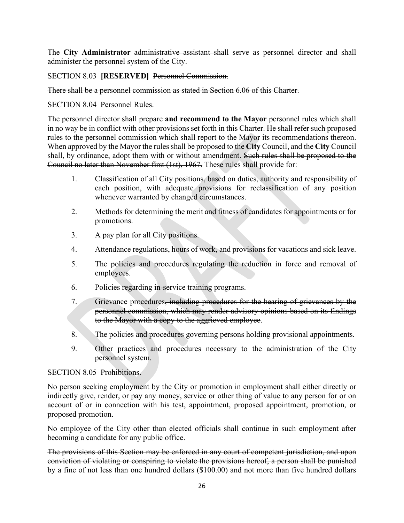The **City Administrator** administrative assistant shall serve as personnel director and shall administer the personnel system of the City.

# SECTION 8.03 **[RESERVED]** Personnel Commission.

### There shall be a personnel commission as stated in Section 6.06 of this Charter.

SECTION 8.04 Personnel Rules.

The personnel director shall prepare **and recommend to the Mayor** personnel rules which shall in no way be in conflict with other provisions set forth in this Charter. He shall refer such proposed rules to the personnel commission which shall report to the Mayor its recommendations thereon. When approved by the Mayor the rules shall be proposed to the **City** Council, and the **City** Council shall, by ordinance, adopt them with or without amendment. Such rules shall be proposed to the Council no later than November first (1st), 1967. These rules shall provide for:

- 1. Classification of all City positions, based on duties, authority and responsibility of each position, with adequate provisions for reclassification of any position whenever warranted by changed circumstances.
- 2. Methods for determining the merit and fitness of candidates for appointments or for promotions.
- 3. A pay plan for all City positions.
- 4. Attendance regulations, hours of work, and provisions for vacations and sick leave.
- 5. The policies and procedures regulating the reduction in force and removal of employees.
- 6. Policies regarding in-service training programs.
- 7. Grievance procedures, including procedures for the hearing of grievances by the personnel commission, which may render advisory opinions based on its findings to the Mayor with a copy to the aggrieved employee.
- 8. The policies and procedures governing persons holding provisional appointments.
- 9. Other practices and procedures necessary to the administration of the City personnel system.

# SECTION 8.05 Prohibitions.

No person seeking employment by the City or promotion in employment shall either directly or indirectly give, render, or pay any money, service or other thing of value to any person for or on account of or in connection with his test, appointment, proposed appointment, promotion, or proposed promotion.

No employee of the City other than elected officials shall continue in such employment after becoming a candidate for any public office.

The provisions of this Section may be enforced in any court of competent jurisdiction, and upon conviction of violating or conspiring to violate the provisions hereof, a person shall be punished by a fine of not less than one hundred dollars (\$100.00) and not more than five hundred dollars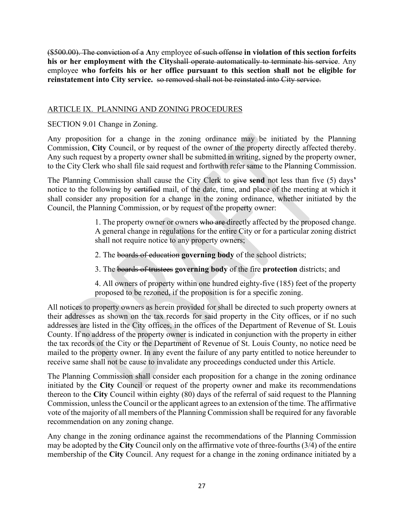(\$500.00). The conviction of a **A**ny employee of such offense **in violation of this section forfeits**  his or her employment with the Cityshall operate automatically to terminate his service. Any employee **who forfeits his or her office pursuant to this section shall not be eligible for reinstatement into City service.** so removed shall not be reinstated into City service.

# ARTICLE IX. PLANNING AND ZONING PROCEDURES

# SECTION 9.01 Change in Zoning.

Any proposition for a change in the zoning ordinance may be initiated by the Planning Commission, **City** Council, or by request of the owner of the property directly affected thereby. Any such request by a property owner shall be submitted in writing, signed by the property owner, to the City Clerk who shall file said request and forthwith refer same to the Planning Commission.

The Planning Commission shall cause the City Clerk to give **send** not less than five (5) days**'** notice to the following by certified mail, of the date, time, and place of the meeting at which it shall consider any proposition for a change in the zoning ordinance, whether initiated by the Council, the Planning Commission, or by request of the property owner:

> 1. The property owner or owners who are directly affected by the proposed change. A general change in regulations for the entire City or for a particular zoning district shall not require notice to any property owners;

2. The boards of education **governing body** of the school districts;

3. The boards of trustees **governing body** of the fire **protection** districts; and

4. All owners of property within one hundred eighty-five (185) feet of the property proposed to be rezoned, if the proposition is for a specific zoning.

All notices to property owners as herein provided for shall be directed to such property owners at their addresses as shown on the tax records for said property in the City offices, or if no such addresses are listed in the City offices, in the offices of the Department of Revenue of St. Louis County. If no address of the property owner is indicated in conjunction with the property in either the tax records of the City or the Department of Revenue of St. Louis County, no notice need be mailed to the property owner. In any event the failure of any party entitled to notice hereunder to receive same shall not be cause to invalidate any proceedings conducted under this Article.

The Planning Commission shall consider each proposition for a change in the zoning ordinance initiated by the **City** Council or request of the property owner and make its recommendations thereon to the **City** Council within eighty (80) days of the referral of said request to the Planning Commission, unless the Council or the applicant agrees to an extension of the time. The affirmative vote of the majority of all members of the Planning Commission shall be required for any favorable recommendation on any zoning change.

Any change in the zoning ordinance against the recommendations of the Planning Commission may be adopted by the **City** Council only on the affirmative vote of three-fourths (3/4) of the entire membership of the **City** Council. Any request for a change in the zoning ordinance initiated by a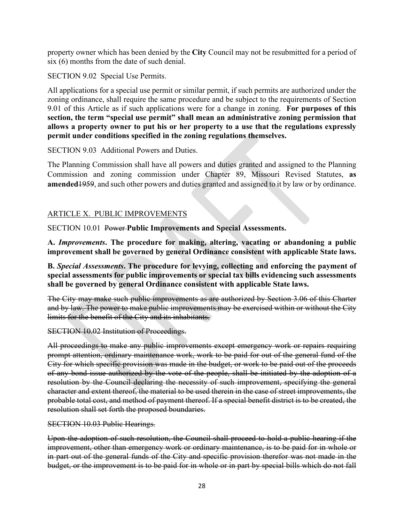property owner which has been denied by the **City** Council may not be resubmitted for a period of six (6) months from the date of such denial.

SECTION 9.02 Special Use Permits.

All applications for a special use permit or similar permit, if such permits are authorized under the zoning ordinance, shall require the same procedure and be subject to the requirements of Section 9.01 of this Article as if such applications were for a change in zoning. **For purposes of this section, the term "special use permit" shall mean an administrative zoning permission that allows a property owner to put his or her property to a use that the regulations expressly permit under conditions specified in the zoning regulations themselves.**

SECTION 9.03 Additional Powers and Duties.

The Planning Commission shall have all powers and duties granted and assigned to the Planning Commission and zoning commission under Chapter 89, Missouri Revised Statutes, **as amended**1959, and such other powers and duties granted and assigned to it by law or by ordinance.

# ARTICLE X. PUBLIC IMPROVEMENTS

SECTION 10.01 Power **Public Improvements and Special Assessments.**

**A.** *Improvements***. The procedure for making, altering, vacating or abandoning a public improvement shall be governed by general Ordinance consistent with applicable State laws.**

**B.** *Special Assessments***. The procedure for levying, collecting and enforcing the payment of special assessments for public improvements or special tax bills evidencing such assessments shall be governed by general Ordinance consistent with applicable State laws.**

The City may make such public improvements as are authorized by Section 3.06 of this Charter and by law. The power to make public improvements may be exercised within or without the City limits for the benefit of the City and its inhabitants.

SECTION 10.02 Institution of Proceedings.

All proceedings to make any public improvements except emergency work or repairs requiring prompt attention, ordinary maintenance work, work to be paid for out of the general fund of the City for which specific provision was made in the budget, or work to be paid out of the proceeds of any bond issue authorized by the vote of the people, shall be initiated by the adoption of a resolution by the Council declaring the necessity of such improvement, specifying the general character and extent thereof, the material to be used therein in the case of street improvements, the probable total cost, and method of payment thereof. If a special benefit district is to be created, the resolution shall set forth the proposed boundaries.

SECTION 10.03 Public Hearings.

Upon the adoption of such resolution, the Council shall proceed to hold a public hearing if the improvement, other than emergency work or ordinary maintenance, is to be paid for in whole or in part out of the general funds of the City and specific provision therefor was not made in the budget, or the improvement is to be paid for in whole or in part by special bills which do not fall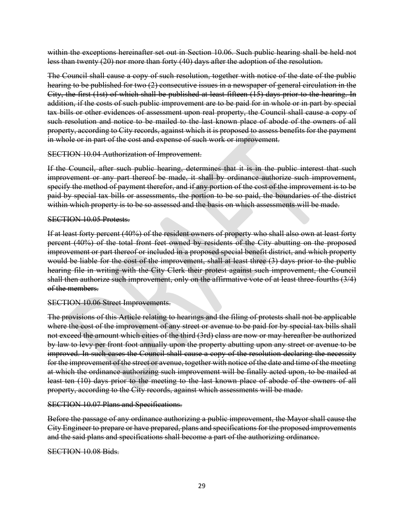within the exceptions hereinafter set out in Section 10.06. Such public hearing shall be held not less than twenty (20) nor more than forty (40) days after the adoption of the resolution.

The Council shall cause a copy of such resolution, together with notice of the date of the public hearing to be published for two (2) consecutive issues in a newspaper of general circulation in the City, the first (1st) of which shall be published at least fifteen (15) days prior to the hearing. In addition, if the costs of such public improvement are to be paid for in whole or in part by special tax bills or other evidences of assessment upon real property, the Council shall cause a copy of such resolution and notice to be mailed to the last known place of abode of the owners of all property, according to City records, against which it is proposed to assess benefits for the payment in whole or in part of the cost and expense of such work or improvement.

#### SECTION 10.04 Authorization of Improvement.

If the Council, after such public hearing, determines that it is in the public interest that such improvement or any part thereof be made, it shall by ordinance authorize such improvement, specify the method of payment therefor, and if any portion of the cost of the improvement is to be paid by special tax bills or assessments, the portion to be so paid, the boundaries of the district within which property is to be so assessed and the basis on which assessments will be made.

#### SECTION 10.05 Protests.

If at least forty percent (40%) of the resident owners of property who shall also own at least forty percent (40%) of the total front feet owned by residents of the City abutting on the proposed improvement or part thereof or included in a proposed special benefit district, and which property would be liable for the cost of the improvement, shall at least three (3) days prior to the public hearing file in writing with the City Clerk their protest against such improvement, the Council shall then authorize such improvement, only on the affirmative vote of at least three-fourths (3/4) of the members.

#### SECTION 10.06 Street Improvements.

The provisions of this Article relating to hearings and the filing of protests shall not be applicable where the cost of the improvement of any street or avenue to be paid for by special tax bills shall not exceed the amount which cities of the third (3rd) class are now or may hereafter be authorized by law to levy per front foot annually upon the property abutting upon any street or avenue to be improved. In such cases the Council shall cause a copy of the resolution declaring the necessity for the improvement of the street or avenue, together with notice of the date and time of the meeting at which the ordinance authorizing such improvement will be finally acted upon, to be mailed at least ten (10) days prior to the meeting to the last known place of abode of the owners of all property, according to the City records, against which assessments will be made.

### SECTION 10.07 Plans and Specifications.

Before the passage of any ordinance authorizing a public improvement, the Mayor shall cause the City Engineer to prepare or have prepared, plans and specifications for the proposed improvements and the said plans and specifications shall become a part of the authorizing ordinance.

#### SECTION 10.08 Bids.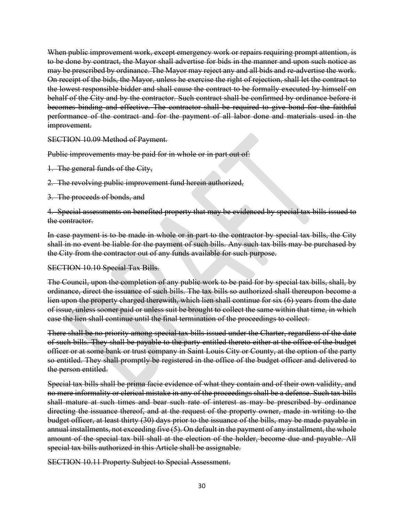When public improvement work, except emergency work or repairs requiring prompt attention, is to be done by contract, the Mayor shall advertise for bids in the manner and upon such notice as may be prescribed by ordinance. The Mayor may reject any and all bids and re-advertise the work. On receipt of the bids, the Mayor, unless he exercise the right of rejection, shall let the contract to the lowest responsible bidder and shall cause the contract to be formally executed by himself on behalf of the City and by the contractor. Such contract shall be confirmed by ordinance before it becomes binding and effective. The contractor shall be required to give bond for the faithful performance of the contract and for the payment of all labor done and materials used in the improvement.

SECTION 10.09 Method of Payment.

Public improvements may be paid for in whole or in part out of.

- 1. The general funds of the City,
- 2. The revolving public improvement fund herein authorized,
- 3. The proceeds of bonds, and

4. Special assessments on benefited property that may be evidenced by special tax bills issued to the contractor.

In case payment is to be made in whole or in part to the contractor by special tax bills, the City shall in no event be liable for the payment of such bills. Any such tax bills may be purchased by the City from the contractor out of any funds available for such purpose.

#### SECTION 10.10 Special Tax Bills.

The Council, upon the completion of any public work to be paid for by special tax bills, shall, by ordinance, direct the issuance of such bills. The tax bills so authorized shall thereupon become a lien upon the property charged therewith, which lien shall continue for six (6) years from the date of issue, unless sooner paid or unless suit be brought to collect the same within that time, in which case the lien shall continue until the final termination of the proceedings to collect.

There shall be no priority among special tax bills issued under the Charter, regardless of the date of such bills. They shall be payable to the party entitled thereto either at the office of the budget officer or at some bank or trust company in Saint Louis City or County, at the option of the party so entitled. They shall promptly be registered in the office of the budget officer and delivered to the person entitled.

Special tax bills shall be prima facie evidence of what they contain and of their own validity, and no mere informality or clerical mistake in any of the proceedings shall be a defense. Such tax bills shall mature at such times and bear such rate of interest as may be prescribed by ordinance directing the issuance thereof, and at the request of the property owner, made in writing to the budget officer, at least thirty (30) days prior to the issuance of the bills, may be made payable in annual installments, not exceeding five  $(5)$ . On default in the payment of any installment, the whole amount of the special tax bill shall at the election of the holder, become due and payable. All special tax bills authorized in this Article shall be assignable.

SECTION 10.11 Property Subject to Special Assessment.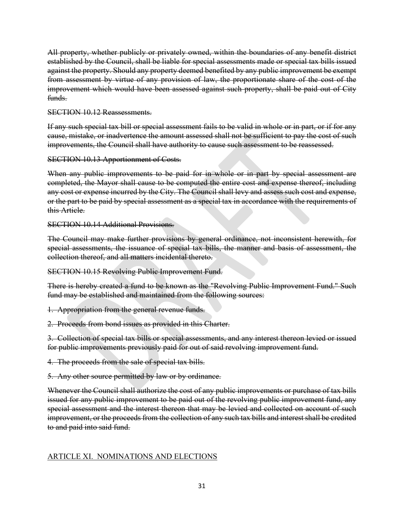All property, whether publicly or privately owned, within the boundaries of any benefit district established by the Council, shall be liable for special assessments made or special tax bills issued against the property. Should any property deemed benefited by any public improvement be exempt from assessment by virtue of any provision of law, the proportionate share of the cost of the improvement which would have been assessed against such property, shall be paid out of City funds.

### SECTION 10.12 Reassessments.

If any such special tax bill or special assessment fails to be valid in whole or in part, or if for any cause, mistake, or inadvertence the amount assessed shall not be sufficient to pay the cost of such improvements, the Council shall have authority to cause such assessment to be reassessed.

SECTION 10.13 Apportionment of Costs.

When any public improvements to be paid for in whole or in part by special assessment are completed, the Mayor shall cause to be computed the entire cost and expense thereof, including any cost or expense incurred by the City. The Council shall levy and assess such cost and expense, or the part to be paid by special assessment as a special tax in accordance with the requirements of this Article.

SECTION 10.14 Additional Provisions.

The Council may make further provisions by general ordinance, not inconsistent herewith, for special assessments, the issuance of special tax bills, the manner and basis of assessment, the collection thereof, and all matters incidental thereto.

SECTION 10.15 Revolving Public Improvement Fund.

There is hereby created a fund to be known as the "Revolving Public Improvement Fund." Such fund may be established and maintained from the following sources:

1. Appropriation from the general revenue funds.

2. Proceeds from bond issues as provided in this Charter.

3. Collection of special tax bills or special assessments, and any interest thereon levied or issued for public improvements previously paid for out of said revolving improvement fund.

4. The proceeds from the sale of special tax bills.

5. Any other source permitted by law or by ordinance.

Whenever the Council shall authorize the cost of any public improvements or purchase of tax bills issued for any public improvement to be paid out of the revolving public improvement fund, any special assessment and the interest thereon that may be levied and collected on account of such improvement, or the proceeds from the collection of any such tax bills and interest shall be credited to and paid into said fund.

# ARTICLE XI. NOMINATIONS AND ELECTIONS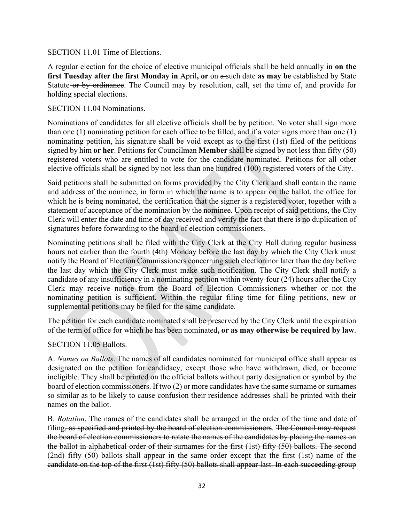#### SECTION 11.01 Time of Elections.

A regular election for the choice of elective municipal officials shall be held annually in **on the first Tuesday after the first Monday in** April, or on  $\theta$ -such date as may be established by State Statute or by ordinance. The Council may by resolution, call, set the time of, and provide for holding special elections.

#### SECTION 11.04 Nominations.

Nominations of candidates for all elective officials shall be by petition. No voter shall sign more than one (1) nominating petition for each office to be filled, and if a voter signs more than one (1) nominating petition, his signature shall be void except as to the first (1st) filed of the petitions signed by him **or her**. Petitions for Councilman **Member** shall be signed by not less than fifty (50) registered voters who are entitled to vote for the candidate nominated. Petitions for all other elective officials shall be signed by not less than one hundred (100) registered voters of the City.

Said petitions shall be submitted on forms provided by the City Clerk and shall contain the name and address of the nominee, in form in which the name is to appear on the ballot, the office for which he is being nominated, the certification that the signer is a registered voter, together with a statement of acceptance of the nomination by the nominee. Upon receipt of said petitions, the City Clerk will enter the date and time of day received and verify the fact that there is no duplication of signatures before forwarding to the board of election commissioners.

Nominating petitions shall be filed with the City Clerk at the City Hall during regular business hours not earlier than the fourth (4th) Monday before the last day by which the City Clerk must notify the Board of Election Commissioners concerning such election nor later than the day before the last day which the City Clerk must make such notification. The City Clerk shall notify a candidate of any insufficiency in a nominating petition within twenty-four (24) hours after the City Clerk may receive notice from the Board of Election Commissioners whether or not the nominating petition is sufficient. Within the regular filing time for filing petitions, new or supplemental petitions may be filed for the same candidate.

The petition for each candidate nominated shall be preserved by the City Clerk until the expiration of the term of office for which he has been nominated**, or as may otherwise be required by law**.

### SECTION 11.05 Ballots.

A. *Names on Ballots*. The names of all candidates nominated for municipal office shall appear as designated on the petition for candidacy, except those who have withdrawn, died, or become ineligible. They shall be printed on the official ballots without party designation or symbol by the board of election commissioners. If two (2) or more candidates have the same surname or surnames so similar as to be likely to cause confusion their residence addresses shall be printed with their names on the ballot.

B. *Rotation*. The names of the candidates shall be arranged in the order of the time and date of filing, as specified and printed by the board of election commissioners. The Council may request the board of election commissioners to rotate the names of the candidates by placing the names on the ballot in alphabetical order of their surnames for the first (1st) fifty (50) ballots. The second (2nd) fifty (50) ballots shall appear in the same order except that the first (1st) name of the candidate on the top of the first (1st) fifty (50) ballots shall appear last. In each succeeding group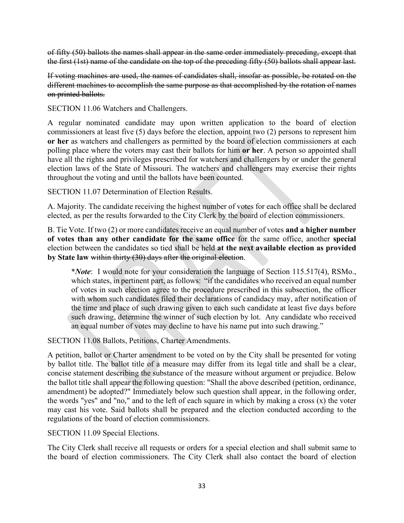of fifty (50) ballots the names shall appear in the same order immediately preceding, except that the first (1st) name of the candidate on the top of the preceding fifty (50) ballots shall appear last.

If voting machines are used, the names of candidates shall, insofar as possible, be rotated on the different machines to accomplish the same purpose as that accomplished by the rotation of names on printed ballots.

SECTION 11.06 Watchers and Challengers.

A regular nominated candidate may upon written application to the board of election commissioners at least five (5) days before the election, appoint two (2) persons to represent him **or her** as watchers and challengers as permitted by the board of election commissioners at each polling place where the voters may cast their ballots for him **or her**. A person so appointed shall have all the rights and privileges prescribed for watchers and challengers by or under the general election laws of the State of Missouri. The watchers and challengers may exercise their rights throughout the voting and until the ballots have been counted.

SECTION 11.07 Determination of Election Results.

A. Majority. The candidate receiving the highest number of votes for each office shall be declared elected, as per the results forwarded to the City Clerk by the board of election commissioners.

B. Tie Vote. If two (2) or more candidates receive an equal number of votes **and a higher number of votes than any other candidate for the same office** for the same office, another **special**  election between the candidates so tied shall be held **at the next available election as provided by State law** within thirty (30) days after the original election.

\**Note*: I would note for your consideration the language of Section 115.517(4), RSMo., which states, in pertinent part, as follows: "if the candidates who received an equal number of votes in such election agree to the procedure prescribed in this subsection, the officer with whom such candidates filed their declarations of candidacy may, after notification of the time and place of such drawing given to each such candidate at least five days before such drawing, determine the winner of such election by lot. Any candidate who received an equal number of votes may decline to have his name put into such drawing."

SECTION 11.08 Ballots, Petitions, Charter Amendments.

A petition, ballot or Charter amendment to be voted on by the City shall be presented for voting by ballot title. The ballot title of a measure may differ from its legal title and shall be a clear, concise statement describing the substance of the measure without argument or prejudice. Below the ballot title shall appear the following question: "Shall the above described (petition, ordinance, amendment) be adopted?" Immediately below such question shall appear, in the following order, the words "yes" and "no," and to the left of each square in which by making a cross (x) the voter may cast his vote. Said ballots shall be prepared and the election conducted according to the regulations of the board of election commissioners.

SECTION 11.09 Special Elections.

The City Clerk shall receive all requests or orders for a special election and shall submit same to the board of election commissioners. The City Clerk shall also contact the board of election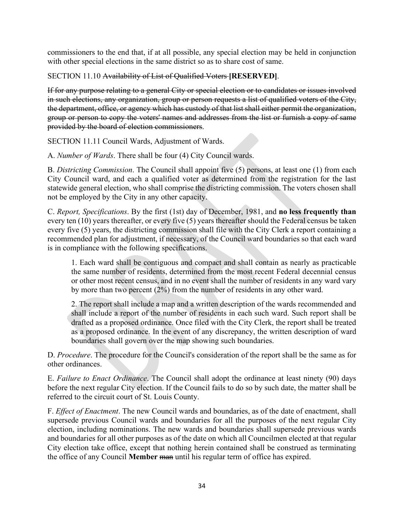commissioners to the end that, if at all possible, any special election may be held in conjunction with other special elections in the same district so as to share cost of same.

SECTION 11.10 Availability of List of Qualified Voters **[RESERVED]**.

If for any purpose relating to a general City or special election or to candidates or issues involved in such elections, any organization, group or person requests a list of qualified voters of the City, the department, office, or agency which has custody of that list shall either permit the organization, group or person to copy the voters' names and addresses from the list or furnish a copy of same provided by the board of election commissioners.

SECTION 11.11 Council Wards, Adjustment of Wards.

A. *Number of Wards*. There shall be four (4) City Council wards.

B. *Districting Commission*. The Council shall appoint five (5) persons, at least one (1) from each City Council ward, and each a qualified voter as determined from the registration for the last statewide general election, who shall comprise the districting commission. The voters chosen shall not be employed by the City in any other capacity.

C. *Report, Specifications*. By the first (1st) day of December, 1981, and **no less frequently than**  every ten (10) years thereafter, or every five (5) years thereafter should the Federal census be taken every five (5) years, the districting commission shall file with the City Clerk a report containing a recommended plan for adjustment, if necessary, of the Council ward boundaries so that each ward is in compliance with the following specifications.

1. Each ward shall be contiguous and compact and shall contain as nearly as practicable the same number of residents, determined from the most recent Federal decennial census or other most recent census, and in no event shall the number of residents in any ward vary by more than two percent (2%) from the number of residents in any other ward.

2. The report shall include a map and a written description of the wards recommended and shall include a report of the number of residents in each such ward. Such report shall be drafted as a proposed ordinance. Once filed with the City Clerk, the report shall be treated as a proposed ordinance. In the event of any discrepancy, the written description of ward boundaries shall govern over the map showing such boundaries.

D. *Procedure*. The procedure for the Council's consideration of the report shall be the same as for other ordinances.

E. *Failure to Enact Ordinance*. The Council shall adopt the ordinance at least ninety (90) days before the next regular City election. If the Council fails to do so by such date, the matter shall be referred to the circuit court of St. Louis County.

F. *Effect of Enactment*. The new Council wards and boundaries, as of the date of enactment, shall supersede previous Council wards and boundaries for all the purposes of the next regular City election, including nominations. The new wards and boundaries shall supersede previous wards and boundaries for all other purposes as of the date on which all Councilmen elected at that regular City election take office, except that nothing herein contained shall be construed as terminating the office of any Council **Member** man until his regular term of office has expired.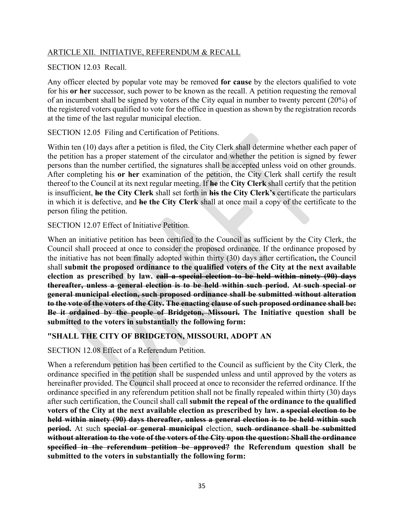# ARTICLE XII. INITIATIVE, REFERENDUM & RECALL

# SECTION 12.03 Recall.

Any officer elected by popular vote may be removed **for cause** by the electors qualified to vote for his **or her** successor, such power to be known as the recall. A petition requesting the removal of an incumbent shall be signed by voters of the City equal in number to twenty percent (20%) of the registered voters qualified to vote for the office in question as shown by the registration records at the time of the last regular municipal election.

SECTION 12.05 Filing and Certification of Petitions.

Within ten (10) days after a petition is filed, the City Clerk shall determine whether each paper of the petition has a proper statement of the circulator and whether the petition is signed by fewer persons than the number certified, the signatures shall be accepted unless void on other grounds. After completing his **or her** examination of the petition, the City Clerk shall certify the result thereof to the Council at its next regular meeting. If **he** the **City Clerk** shall certify that the petition is insufficient, **he the City Clerk** shall set forth in **his the City Clerk's** certificate the particulars in which it is defective, and **he the City Clerk** shall at once mail a copy of the certificate to the person filing the petition.

SECTION 12.07 Effect of Initiative Petition.

When an initiative petition has been certified to the Council as sufficient by the City Clerk, the Council shall proceed at once to consider the proposed ordinance. If the ordinance proposed by the initiative has not been finally adopted within thirty (30) days after certification**,** the Council shall **submit the proposed ordinance to the qualified voters of the City at the next available election as prescribed by law. call a special election to be held within ninety (90) days thereafter, unless a general election is to be held within such period. At such special or general municipal election, such proposed ordinance shall be submitted without alteration to the vote of the voters of the City. The enacting clause of such proposed ordinance shall be: Be it ordained by the people of Bridgeton, Missouri. The Initiative question shall be submitted to the voters in substantially the following form:**

# **"SHALL THE CITY OF BRIDGETON, MISSOURI, ADOPT AN**

SECTION 12.08 Effect of a Referendum Petition.

When a referendum petition has been certified to the Council as sufficient by the City Clerk, the ordinance specified in the petition shall be suspended unless and until approved by the voters as hereinafter provided. The Council shall proceed at once to reconsider the referred ordinance. If the ordinance specified in any referendum petition shall not be finally repealed within thirty (30) days after such certification, the Council shall call **submit the repeal of the ordinance to the qualified voters of the City at the next available election as prescribed by law. a special election to be held within ninety (90) days thereafter, unless a general election is to be held within such period.** At such **special or general municipal** election, **such ordinance shall be submitted without alteration to the vote of the voters of the City upon the question: Shall the ordinance specified in the referendum petition be approved? the Referendum question shall be submitted to the voters in substantially the following form:**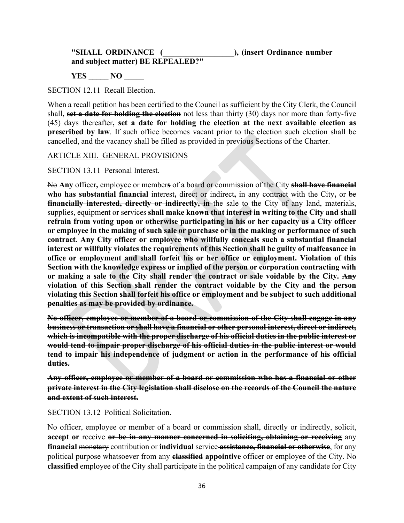### **"SHALL ORDINANCE (\_\_\_\_\_\_\_\_\_\_\_\_\_\_\_\_\_\_), (insert Ordinance number and subject matter) BE REPEALED?"**

**YES \_\_\_\_\_ NO \_\_\_\_\_**

SECTION 12.11 Recall Election.

When a recall petition has been certified to the Council as sufficient by the City Clerk, the Council shall**, set a date for holding the election** not less than thirty (30) days nor more than forty-five (45) days thereafter**, set a date for holding the election at the next available election as prescribed by law**. If such office becomes vacant prior to the election such election shall be cancelled, and the vacancy shall be filled as provided in previous Sections of the Charter.

#### ARTICLE XIII. GENERAL PROVISIONS

SECTION 13.11 Personal Interest.

No **Any** officer**,** employee or member**s** of a board or commission of the City **shall have financial who has substantial financial** interest**,** direct or indirect**,** in any contract with the City**,** or be **financially interested, directly or indirectly, in** the sale to the City of any land, materials, supplies, equipment or services **shall make known that interest in writing to the City and shall refrain from voting upon or otherwise participating in his or her capacity as a City officer or employee in the making of such sale or purchase or in the making or performance of such contract**. **Any City officer or employee who willfully conceals such a substantial financial interest or willfully violates the requirements of this Section shall be guilty of malfeasance in office or employment and shall forfeit his or her office or employment. Violation of this Section with the knowledge express or implied of the person or corporation contracting with or making a sale to the City shall render the contract or sale voidable by the City. Any violation of this Section shall render the contract voidable by the City and the person violating this Section shall forfeit his office or employment and be subject to such additional penalties as may be provided by ordinance.**

**No officer, employee or member of a board or commission of the City shall engage in any business or transaction or shall have a financial or other personal interest, direct or indirect, which is incompatible with the proper discharge of his official duties in the public interest or would tend to impair proper discharge of his official duties in the public interest or would tend to impair his independence of judgment or action in the performance of his official duties.**

**Any officer, employee or member of a board or commission who has a financial or other private interest in the City legislation shall disclose on the records of the Council the nature and extent of such interest.**

SECTION 13.12 Political Solicitation.

No officer, employee or member of a board or commission shall, directly or indirectly, solicit, **accept or** receive **or be in any manner concerned in soliciting, obtaining or receiving** any **financial** monetary contribution or **individual** service **assistance, financial or otherwise**, for any political purpose whatsoever from any **classified appointive** officer or employee of the City. No **classified** employee of the City shall participate in the political campaign of any candidate for City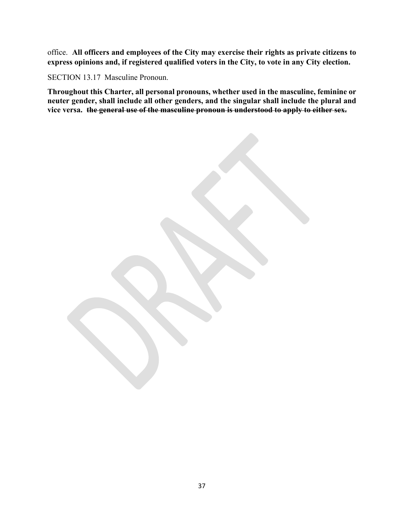office. **All officers and employees of the City may exercise their rights as private citizens to express opinions and, if registered qualified voters in the City, to vote in any City election.**

SECTION 13.17 Masculine Pronoun.

**Throughout this Charter, all personal pronouns, whether used in the masculine, feminine or neuter gender, shall include all other genders, and the singular shall include the plural and vice versa. the general use of the masculine pronoun is understood to apply to either sex.**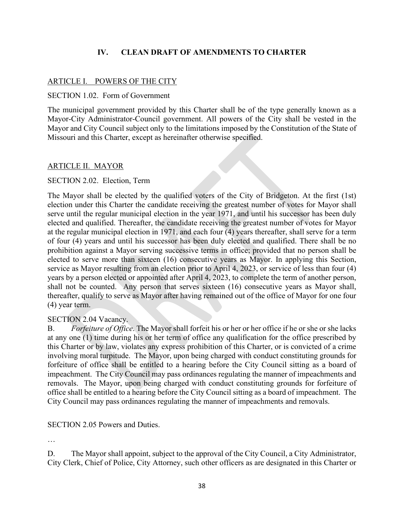# **IV. CLEAN DRAFT OF AMENDMENTS TO CHARTER**

# ARTICLE I. POWERS OF THE CITY

### SECTION 1.02. Form of Government

The municipal government provided by this Charter shall be of the type generally known as a Mayor-City Administrator-Council government. All powers of the City shall be vested in the Mayor and City Council subject only to the limitations imposed by the Constitution of the State of Missouri and this Charter, except as hereinafter otherwise specified.

# ARTICLE II. MAYOR

# SECTION 2.02. Election, Term

The Mayor shall be elected by the qualified voters of the City of Bridgeton. At the first (1st) election under this Charter the candidate receiving the greatest number of votes for Mayor shall serve until the regular municipal election in the year 1971, and until his successor has been duly elected and qualified. Thereafter, the candidate receiving the greatest number of votes for Mayor at the regular municipal election in 1971, and each four (4) years thereafter, shall serve for a term of four (4) years and until his successor has been duly elected and qualified. There shall be no prohibition against a Mayor serving successive terms in office; provided that no person shall be elected to serve more than sixteen (16) consecutive years as Mayor. In applying this Section, service as Mayor resulting from an election prior to April 4, 2023, or service of less than four (4) years by a person elected or appointed after April 4, 2023, to complete the term of another person, shall not be counted. Any person that serves sixteen (16) consecutive years as Mayor shall, thereafter, qualify to serve as Mayor after having remained out of the office of Mayor for one four (4) year term.

### SECTION 2.04 Vacancy.

B. *Forfeiture of Office*. The Mayor shall forfeit his or her or her office if he or she or she lacks at any one (1) time during his or her term of office any qualification for the office prescribed by this Charter or by law, violates any express prohibition of this Charter, or is convicted of a crime involving moral turpitude. The Mayor, upon being charged with conduct constituting grounds for forfeiture of office shall be entitled to a hearing before the City Council sitting as a board of impeachment. The City Council may pass ordinances regulating the manner of impeachments and removals. The Mayor, upon being charged with conduct constituting grounds for forfeiture of office shall be entitled to a hearing before the City Council sitting as a board of impeachment. The City Council may pass ordinances regulating the manner of impeachments and removals.

### SECTION 2.05 Powers and Duties.

…

D. The Mayor shall appoint, subject to the approval of the City Council, a City Administrator, City Clerk, Chief of Police, City Attorney, such other officers as are designated in this Charter or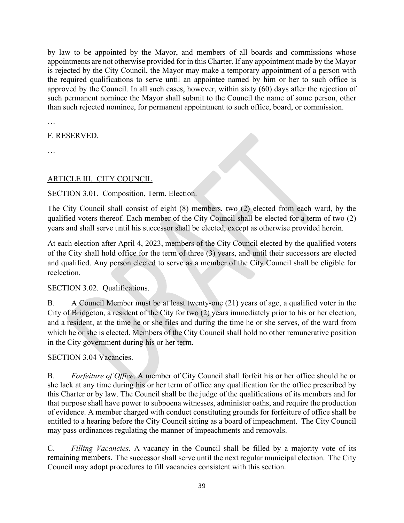by law to be appointed by the Mayor, and members of all boards and commissions whose appointments are not otherwise provided for in this Charter. If any appointment made by the Mayor is rejected by the City Council, the Mayor may make a temporary appointment of a person with the required qualifications to serve until an appointee named by him or her to such office is approved by the Council. In all such cases, however, within sixty (60) days after the rejection of such permanent nominee the Mayor shall submit to the Council the name of some person, other than such rejected nominee, for permanent appointment to such office, board, or commission.

…

F. RESERVED.

…

# ARTICLE III. CITY COUNCIL

# SECTION 3.01. Composition, Term, Election.

The City Council shall consist of eight (8) members, two (2) elected from each ward, by the qualified voters thereof. Each member of the City Council shall be elected for a term of two (2) years and shall serve until his successor shall be elected, except as otherwise provided herein.

At each election after April 4, 2023, members of the City Council elected by the qualified voters of the City shall hold office for the term of three (3) years, and until their successors are elected and qualified. Any person elected to serve as a member of the City Council shall be eligible for reelection.

# SECTION 3.02. Qualifications.

B. A Council Member must be at least twenty-one (21) years of age, a qualified voter in the City of Bridgeton, a resident of the City for two (2) years immediately prior to his or her election, and a resident, at the time he or she files and during the time he or she serves, of the ward from which he or she is elected. Members of the City Council shall hold no other remunerative position in the City government during his or her term.

# SECTION 3.04 Vacancies.

B. *Forfeiture of Office*. A member of City Council shall forfeit his or her office should he or she lack at any time during his or her term of office any qualification for the office prescribed by this Charter or by law. The Council shall be the judge of the qualifications of its members and for that purpose shall have power to subpoena witnesses, administer oaths, and require the production of evidence. A member charged with conduct constituting grounds for forfeiture of office shall be entitled to a hearing before the City Council sitting as a board of impeachment. The City Council may pass ordinances regulating the manner of impeachments and removals.

C. *Filling Vacancies*. A vacancy in the Council shall be filled by a majority vote of its remaining members. The successor shall serve until the next regular municipal election. The City Council may adopt procedures to fill vacancies consistent with this section.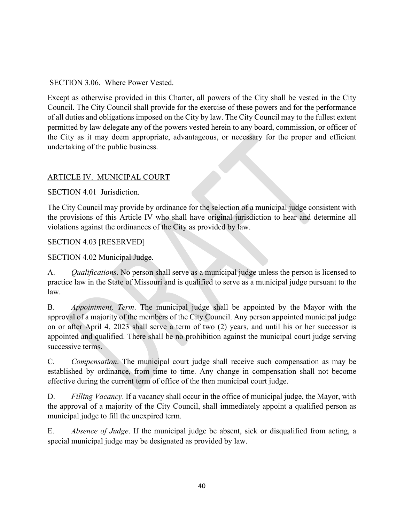SECTION 3.06. Where Power Vested.

Except as otherwise provided in this Charter, all powers of the City shall be vested in the City Council. The City Council shall provide for the exercise of these powers and for the performance of all duties and obligations imposed on the City by law. The City Council may to the fullest extent permitted by law delegate any of the powers vested herein to any board, commission, or officer of the City as it may deem appropriate, advantageous, or necessary for the proper and efficient undertaking of the public business.

# ARTICLE IV. MUNICIPAL COURT

SECTION 4.01 Jurisdiction.

The City Council may provide by ordinance for the selection of a municipal judge consistent with the provisions of this Article IV who shall have original jurisdiction to hear and determine all violations against the ordinances of the City as provided by law.

SECTION 4.03 [RESERVED]

SECTION 4.02 Municipal Judge.

A. *Qualifications*. No person shall serve as a municipal judge unless the person is licensed to practice law in the State of Missouri and is qualified to serve as a municipal judge pursuant to the law.

B. *Appointment, Term*. The municipal judge shall be appointed by the Mayor with the approval of a majority of the members of the City Council. Any person appointed municipal judge on or after April 4, 2023 shall serve a term of two (2) years, and until his or her successor is appointed and qualified. There shall be no prohibition against the municipal court judge serving successive terms.

C. *Compensation*. The municipal court judge shall receive such compensation as may be established by ordinance, from time to time. Any change in compensation shall not become effective during the current term of office of the then municipal court judge.

D. *Filling Vacancy*. If a vacancy shall occur in the office of municipal judge, the Mayor, with the approval of a majority of the City Council, shall immediately appoint a qualified person as municipal judge to fill the unexpired term.

E. *Absence of Judge*. If the municipal judge be absent, sick or disqualified from acting, a special municipal judge may be designated as provided by law.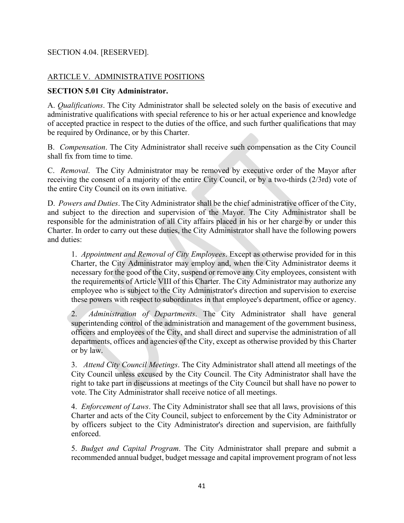# SECTION 4.04. [RESERVED].

# ARTICLE V. ADMINISTRATIVE POSITIONS

### **SECTION 5.01 City Administrator.**

A. *Qualifications*. The City Administrator shall be selected solely on the basis of executive and administrative qualifications with special reference to his or her actual experience and knowledge of accepted practice in respect to the duties of the office, and such further qualifications that may be required by Ordinance, or by this Charter.

B. *Compensation*. The City Administrator shall receive such compensation as the City Council shall fix from time to time.

C. *Removal*. The City Administrator may be removed by executive order of the Mayor after receiving the consent of a majority of the entire City Council, or by a two-thirds (2/3rd) vote of the entire City Council on its own initiative.

D. *Powers and Duties*. The City Administrator shall be the chief administrative officer of the City, and subject to the direction and supervision of the Mayor. The City Administrator shall be responsible for the administration of all City affairs placed in his or her charge by or under this Charter. In order to carry out these duties, the City Administrator shall have the following powers and duties:

1. *Appointment and Removal of City Employees*. Except as otherwise provided for in this Charter, the City Administrator may employ and, when the City Administrator deems it necessary for the good of the City, suspend or remove any City employees, consistent with the requirements of Article VIII of this Charter. The City Administrator may authorize any employee who is subject to the City Administrator's direction and supervision to exercise these powers with respect to subordinates in that employee's department, office or agency.

2. *Administration of Departments*. The City Administrator shall have general superintending control of the administration and management of the government business, officers and employees of the City, and shall direct and supervise the administration of all departments, offices and agencies of the City, except as otherwise provided by this Charter or by law.

3. *Attend City Council Meetings*. The City Administrator shall attend all meetings of the City Council unless excused by the City Council. The City Administrator shall have the right to take part in discussions at meetings of the City Council but shall have no power to vote. The City Administrator shall receive notice of all meetings.

4. *Enforcement of Laws*. The City Administrator shall see that all laws, provisions of this Charter and acts of the City Council, subject to enforcement by the City Administrator or by officers subject to the City Administrator's direction and supervision, are faithfully enforced.

5. *Budget and Capital Program*. The City Administrator shall prepare and submit a recommended annual budget, budget message and capital improvement program of not less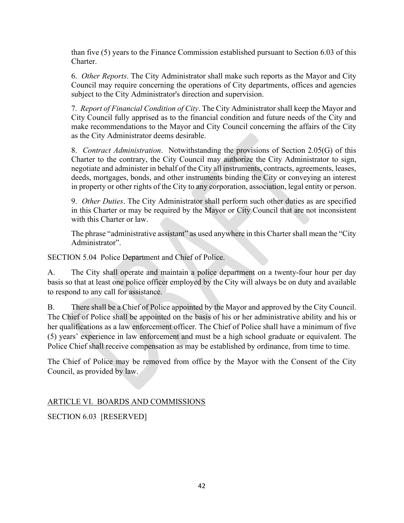than five (5) years to the Finance Commission established pursuant to Section 6.03 of this Charter.

6. *Other Reports*. The City Administrator shall make such reports as the Mayor and City Council may require concerning the operations of City departments, offices and agencies subject to the City Administrator's direction and supervision.

7. *Report of Financial Condition of City*. The City Administrator shall keep the Mayor and City Council fully apprised as to the financial condition and future needs of the City and make recommendations to the Mayor and City Council concerning the affairs of the City as the City Administrator deems desirable.

8. *Contract Administration*. Notwithstanding the provisions of Section 2.05(G) of this Charter to the contrary, the City Council may authorize the City Administrator to sign, negotiate and administer in behalf of the City all instruments, contracts, agreements, leases, deeds, mortgages, bonds, and other instruments binding the City or conveying an interest in property or other rights of the City to any corporation, association, legal entity or person.

9. *Other Duties*. The City Administrator shall perform such other duties as are specified in this Charter or may be required by the Mayor or City Council that are not inconsistent with this Charter or law.

The phrase "administrative assistant" as used anywhere in this Charter shall mean the "City Administrator".

SECTION 5.04 Police Department and Chief of Police.

A. The City shall operate and maintain a police department on a twenty-four hour per day basis so that at least one police officer employed by the City will always be on duty and available to respond to any call for assistance.

B. There shall be a Chief of Police appointed by the Mayor and approved by the City Council. The Chief of Police shall be appointed on the basis of his or her administrative ability and his or her qualifications as a law enforcement officer. The Chief of Police shall have a minimum of five (5) years' experience in law enforcement and must be a high school graduate or equivalent. The Police Chief shall receive compensation as may be established by ordinance, from time to time.

The Chief of Police may be removed from office by the Mayor with the Consent of the City Council, as provided by law.

# ARTICLE VI. BOARDS AND COMMISSIONS

SECTION 6.03 [RESERVED]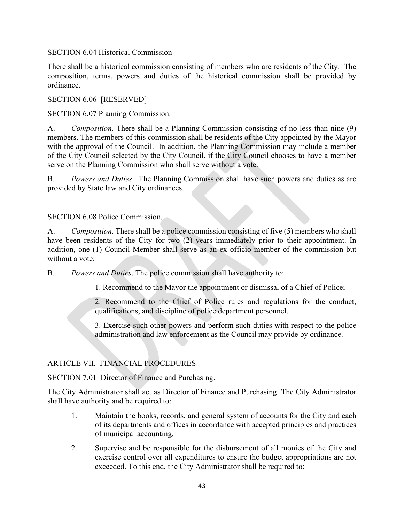SECTION 6.04 Historical Commission

There shall be a historical commission consisting of members who are residents of the City. The composition, terms, powers and duties of the historical commission shall be provided by ordinance.

SECTION 6.06 [RESERVED]

SECTION 6.07 Planning Commission.

A. *Composition*. There shall be a Planning Commission consisting of no less than nine (9) members. The members of this commission shall be residents of the City appointed by the Mayor with the approval of the Council. In addition, the Planning Commission may include a member of the City Council selected by the City Council, if the City Council chooses to have a member serve on the Planning Commission who shall serve without a vote.

B. *Powers and Duties*. The Planning Commission shall have such powers and duties as are provided by State law and City ordinances.

# SECTION 6.08 Police Commission.

A. *Composition*. There shall be a police commission consisting of five (5) members who shall have been residents of the City for two (2) years immediately prior to their appointment. In addition, one (1) Council Member shall serve as an ex officio member of the commission but without a vote.

B. *Powers and Duties*. The police commission shall have authority to:

1. Recommend to the Mayor the appointment or dismissal of a Chief of Police;

2. Recommend to the Chief of Police rules and regulations for the conduct, qualifications, and discipline of police department personnel.

3. Exercise such other powers and perform such duties with respect to the police administration and law enforcement as the Council may provide by ordinance.

# ARTICLE VII. FINANCIAL PROCEDURES

SECTION 7.01 Director of Finance and Purchasing.

The City Administrator shall act as Director of Finance and Purchasing. The City Administrator shall have authority and be required to:

- 1. Maintain the books, records, and general system of accounts for the City and each of its departments and offices in accordance with accepted principles and practices of municipal accounting.
- 2. Supervise and be responsible for the disbursement of all monies of the City and exercise control over all expenditures to ensure the budget appropriations are not exceeded. To this end, the City Administrator shall be required to: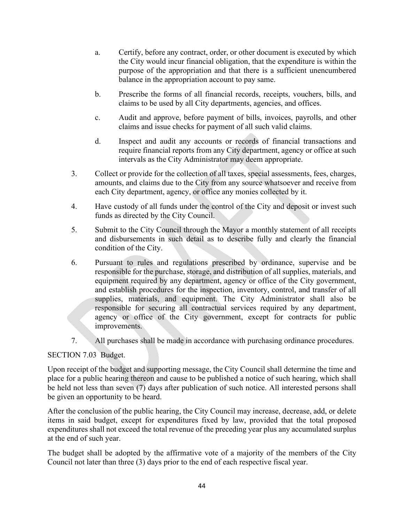- a. Certify, before any contract, order, or other document is executed by which the City would incur financial obligation, that the expenditure is within the purpose of the appropriation and that there is a sufficient unencumbered balance in the appropriation account to pay same.
- b. Prescribe the forms of all financial records, receipts, vouchers, bills, and claims to be used by all City departments, agencies, and offices.
- c. Audit and approve, before payment of bills, invoices, payrolls, and other claims and issue checks for payment of all such valid claims.
- d. Inspect and audit any accounts or records of financial transactions and require financial reports from any City department, agency or office at such intervals as the City Administrator may deem appropriate.
- 3. Collect or provide for the collection of all taxes, special assessments, fees, charges, amounts, and claims due to the City from any source whatsoever and receive from each City department, agency, or office any monies collected by it.
- 4. Have custody of all funds under the control of the City and deposit or invest such funds as directed by the City Council.
- 5. Submit to the City Council through the Mayor a monthly statement of all receipts and disbursements in such detail as to describe fully and clearly the financial condition of the City.
- 6. Pursuant to rules and regulations prescribed by ordinance, supervise and be responsible for the purchase, storage, and distribution of all supplies, materials, and equipment required by any department, agency or office of the City government, and establish procedures for the inspection, inventory, control, and transfer of all supplies, materials, and equipment. The City Administrator shall also be responsible for securing all contractual services required by any department, agency or office of the City government, except for contracts for public improvements.
- 7. All purchases shall be made in accordance with purchasing ordinance procedures.

# SECTION 7.03 Budget.

Upon receipt of the budget and supporting message, the City Council shall determine the time and place for a public hearing thereon and cause to be published a notice of such hearing, which shall be held not less than seven (7) days after publication of such notice. All interested persons shall be given an opportunity to be heard.

After the conclusion of the public hearing, the City Council may increase, decrease, add, or delete items in said budget, except for expenditures fixed by law, provided that the total proposed expenditures shall not exceed the total revenue of the preceding year plus any accumulated surplus at the end of such year.

The budget shall be adopted by the affirmative vote of a majority of the members of the City Council not later than three (3) days prior to the end of each respective fiscal year.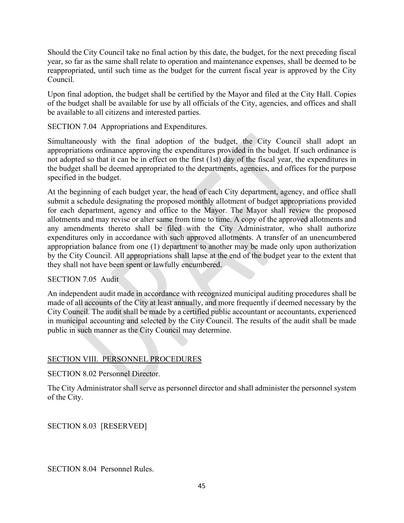Should the City Council take no final action by this date, the budget, for the next preceding fiscal year, so far as the same shall relate to operation and maintenance expenses, shall be deemed to be reappropriated, until such time as the budget for the current fiscal year is approved by the City Council.

Upon final adoption, the budget shall be certified by the Mayor and filed at the City Hall. Copies of the budget shall be available for use by all officials of the City, agencies, and offices and shall be available to all citizens and interested parties.

SECTION 7.04 Appropriations and Expenditures.

Simultaneously with the final adoption of the budget, the City Council shall adopt an appropriations ordinance approving the expenditures provided in the budget. If such ordinance is not adopted so that it can be in effect on the first (1st) day of the fiscal year, the expenditures in the budget shall be deemed appropriated to the departments, agencies, and offices for the purpose specified in the budget.

At the beginning of each budget year, the head of each City department, agency, and office shall submit a schedule designating the proposed monthly allotment of budget appropriations provided for each department, agency and office to the Mayor. The Mayor shall review the proposed allotments and may revise or alter same from time to time. A copy of the approved allotments and any amendments thereto shall be filed with the City Administrator, who shall authorize expenditures only in accordance with such approved allotments. A transfer of an unencumbered appropriation balance from one (1) department to another may be made only upon authorization by the City Council. All appropriations shall lapse at the end of the budget year to the extent that they shall not have been spent or lawfully encumbered.

### SECTION 7.05 Audit

An independent audit made in accordance with recognized municipal auditing procedures shall be made of all accounts of the City at least annually, and more frequently if deemed necessary by the City Council. The audit shall be made by a certified public accountant or accountants, experienced in municipal accounting and selected by the City Council. The results of the audit shall be made public in such manner as the City Council may determine.

# SECTION VIII. PERSONNEL PROCEDURES

SECTION 8.02 Personnel Director.

The City Administrator shall serve as personnel director and shall administer the personnel system of the City.

SECTION 8.03 [RESERVED]

SECTION 8.04 Personnel Rules.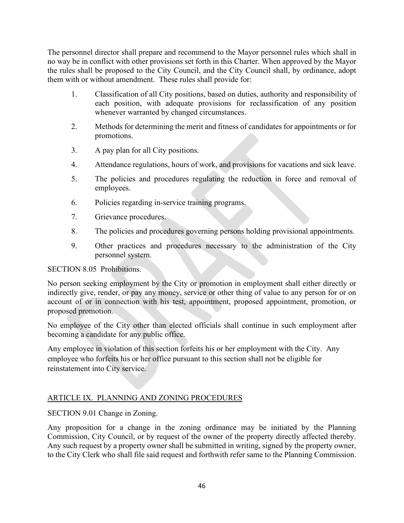The personnel director shall prepare and recommend to the Mayor personnel rules which shall in no way be in conflict with other provisions set forth in this Charter. When approved by the Mayor the rules shall be proposed to the City Council, and the City Council shall, by ordinance, adopt them with or without amendment. These rules shall provide for:

- 1. Classification of all City positions, based on duties, authority and responsibility of each position, with adequate provisions for reclassification of any position whenever warranted by changed circumstances.
- 2. Methods for determining the merit and fitness of candidates for appointments or for promotions.
- 3. A pay plan for all City positions.
- 4. Attendance regulations, hours of work, and provisions for vacations and sick leave.
- 5. The policies and procedures regulating the reduction in force and removal of employees.
- 6. Policies regarding in-service training programs.
- 7. Grievance procedures.
- 8. The policies and procedures governing persons holding provisional appointments.
- 9. Other practices and procedures necessary to the administration of the City personnel system.

# SECTION 8.05 Prohibitions.

No person seeking employment by the City or promotion in employment shall either directly or indirectly give, render, or pay any money, service or other thing of value to any person for or on account of or in connection with his test, appointment, proposed appointment, promotion, or proposed promotion.

No employee of the City other than elected officials shall continue in such employment after becoming a candidate for any public office.

Any employee in violation of this section forfeits his or her employment with the City. Any employee who forfeits his or her office pursuant to this section shall not be eligible for reinstatement into City service.

# ARTICLE IX. PLANNING AND ZONING PROCEDURES

SECTION 9.01 Change in Zoning.

Any proposition for a change in the zoning ordinance may be initiated by the Planning Commission, City Council, or by request of the owner of the property directly affected thereby. Any such request by a property owner shall be submitted in writing, signed by the property owner, to the City Clerk who shall file said request and forthwith refer same to the Planning Commission.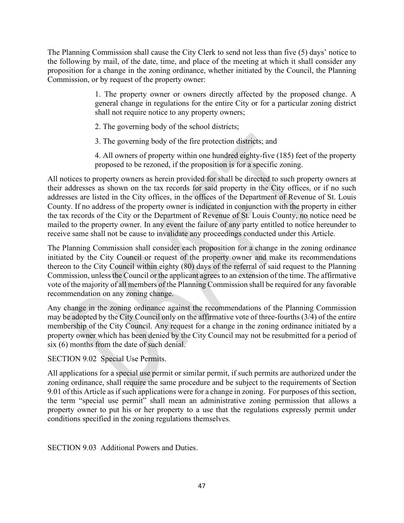The Planning Commission shall cause the City Clerk to send not less than five (5) days' notice to the following by mail, of the date, time, and place of the meeting at which it shall consider any proposition for a change in the zoning ordinance, whether initiated by the Council, the Planning Commission, or by request of the property owner:

> 1. The property owner or owners directly affected by the proposed change. A general change in regulations for the entire City or for a particular zoning district shall not require notice to any property owners;

2. The governing body of the school districts;

3. The governing body of the fire protection districts; and

4. All owners of property within one hundred eighty-five (185) feet of the property proposed to be rezoned, if the proposition is for a specific zoning.

All notices to property owners as herein provided for shall be directed to such property owners at their addresses as shown on the tax records for said property in the City offices, or if no such addresses are listed in the City offices, in the offices of the Department of Revenue of St. Louis County. If no address of the property owner is indicated in conjunction with the property in either the tax records of the City or the Department of Revenue of St. Louis County, no notice need be mailed to the property owner. In any event the failure of any party entitled to notice hereunder to receive same shall not be cause to invalidate any proceedings conducted under this Article.

The Planning Commission shall consider each proposition for a change in the zoning ordinance initiated by the City Council or request of the property owner and make its recommendations thereon to the City Council within eighty (80) days of the referral of said request to the Planning Commission, unless the Council or the applicant agrees to an extension of the time. The affirmative vote of the majority of all members of the Planning Commission shall be required for any favorable recommendation on any zoning change.

Any change in the zoning ordinance against the recommendations of the Planning Commission may be adopted by the City Council only on the affirmative vote of three-fourths (3/4) of the entire membership of the City Council. Any request for a change in the zoning ordinance initiated by a property owner which has been denied by the City Council may not be resubmitted for a period of six (6) months from the date of such denial.

SECTION 9.02 Special Use Permits.

All applications for a special use permit or similar permit, if such permits are authorized under the zoning ordinance, shall require the same procedure and be subject to the requirements of Section 9.01 of this Article as if such applications were for a change in zoning. For purposes of this section, the term "special use permit" shall mean an administrative zoning permission that allows a property owner to put his or her property to a use that the regulations expressly permit under conditions specified in the zoning regulations themselves.

SECTION 9.03 Additional Powers and Duties.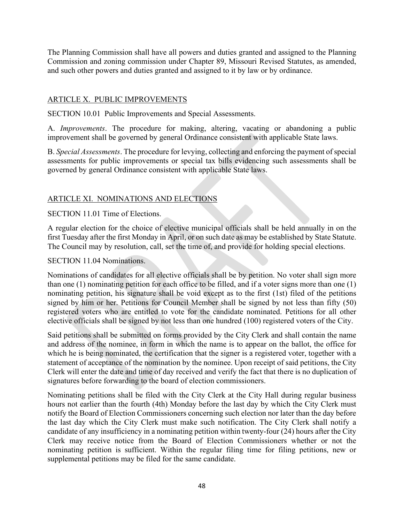The Planning Commission shall have all powers and duties granted and assigned to the Planning Commission and zoning commission under Chapter 89, Missouri Revised Statutes, as amended, and such other powers and duties granted and assigned to it by law or by ordinance.

# ARTICLE X. PUBLIC IMPROVEMENTS

SECTION 10.01 Public Improvements and Special Assessments.

A. *Improvements*. The procedure for making, altering, vacating or abandoning a public improvement shall be governed by general Ordinance consistent with applicable State laws.

B. *Special Assessments*. The procedure for levying, collecting and enforcing the payment of special assessments for public improvements or special tax bills evidencing such assessments shall be governed by general Ordinance consistent with applicable State laws.

# ARTICLE XI. NOMINATIONS AND ELECTIONS

# SECTION 11.01 Time of Elections.

A regular election for the choice of elective municipal officials shall be held annually in on the first Tuesday after the first Monday in April, or on such date as may be established by State Statute. The Council may by resolution, call, set the time of, and provide for holding special elections.

### SECTION 11.04 Nominations.

Nominations of candidates for all elective officials shall be by petition. No voter shall sign more than one (1) nominating petition for each office to be filled, and if a voter signs more than one (1) nominating petition, his signature shall be void except as to the first (1st) filed of the petitions signed by him or her. Petitions for Council Member shall be signed by not less than fifty (50) registered voters who are entitled to vote for the candidate nominated. Petitions for all other elective officials shall be signed by not less than one hundred (100) registered voters of the City.

Said petitions shall be submitted on forms provided by the City Clerk and shall contain the name and address of the nominee, in form in which the name is to appear on the ballot, the office for which he is being nominated, the certification that the signer is a registered voter, together with a statement of acceptance of the nomination by the nominee. Upon receipt of said petitions, the City Clerk will enter the date and time of day received and verify the fact that there is no duplication of signatures before forwarding to the board of election commissioners.

Nominating petitions shall be filed with the City Clerk at the City Hall during regular business hours not earlier than the fourth (4th) Monday before the last day by which the City Clerk must notify the Board of Election Commissioners concerning such election nor later than the day before the last day which the City Clerk must make such notification. The City Clerk shall notify a candidate of any insufficiency in a nominating petition within twenty-four (24) hours after the City Clerk may receive notice from the Board of Election Commissioners whether or not the nominating petition is sufficient. Within the regular filing time for filing petitions, new or supplemental petitions may be filed for the same candidate.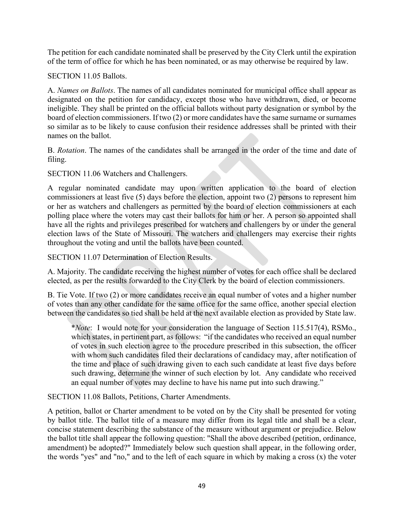The petition for each candidate nominated shall be preserved by the City Clerk until the expiration of the term of office for which he has been nominated, or as may otherwise be required by law.

SECTION 11.05 Ballots.

A. *Names on Ballots*. The names of all candidates nominated for municipal office shall appear as designated on the petition for candidacy, except those who have withdrawn, died, or become ineligible. They shall be printed on the official ballots without party designation or symbol by the board of election commissioners. If two (2) or more candidates have the same surname or surnames so similar as to be likely to cause confusion their residence addresses shall be printed with their names on the ballot.

B. *Rotation*. The names of the candidates shall be arranged in the order of the time and date of filing.

SECTION 11.06 Watchers and Challengers.

A regular nominated candidate may upon written application to the board of election commissioners at least five (5) days before the election, appoint two (2) persons to represent him or her as watchers and challengers as permitted by the board of election commissioners at each polling place where the voters may cast their ballots for him or her. A person so appointed shall have all the rights and privileges prescribed for watchers and challengers by or under the general election laws of the State of Missouri. The watchers and challengers may exercise their rights throughout the voting and until the ballots have been counted.

SECTION 11.07 Determination of Election Results.

A. Majority. The candidate receiving the highest number of votes for each office shall be declared elected, as per the results forwarded to the City Clerk by the board of election commissioners.

B. Tie Vote. If two (2) or more candidates receive an equal number of votes and a higher number of votes than any other candidate for the same office for the same office, another special election between the candidates so tied shall be held at the next available election as provided by State law.

\**Note*: I would note for your consideration the language of Section 115.517(4), RSMo., which states, in pertinent part, as follows: "if the candidates who received an equal number of votes in such election agree to the procedure prescribed in this subsection, the officer with whom such candidates filed their declarations of candidacy may, after notification of the time and place of such drawing given to each such candidate at least five days before such drawing, determine the winner of such election by lot. Any candidate who received an equal number of votes may decline to have his name put into such drawing."

SECTION 11.08 Ballots, Petitions, Charter Amendments.

A petition, ballot or Charter amendment to be voted on by the City shall be presented for voting by ballot title. The ballot title of a measure may differ from its legal title and shall be a clear, concise statement describing the substance of the measure without argument or prejudice. Below the ballot title shall appear the following question: "Shall the above described (petition, ordinance, amendment) be adopted?" Immediately below such question shall appear, in the following order, the words "yes" and "no," and to the left of each square in which by making a cross (x) the voter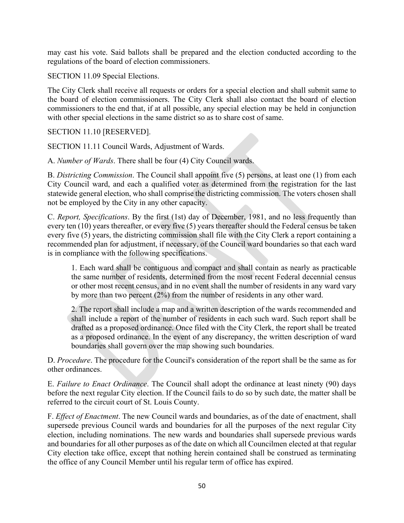may cast his vote. Said ballots shall be prepared and the election conducted according to the regulations of the board of election commissioners.

SECTION 11.09 Special Elections.

The City Clerk shall receive all requests or orders for a special election and shall submit same to the board of election commissioners. The City Clerk shall also contact the board of election commissioners to the end that, if at all possible, any special election may be held in conjunction with other special elections in the same district so as to share cost of same.

SECTION 11.10 [RESERVED].

SECTION 11.11 Council Wards, Adjustment of Wards.

A. *Number of Wards*. There shall be four (4) City Council wards.

B. *Districting Commission*. The Council shall appoint five (5) persons, at least one (1) from each City Council ward, and each a qualified voter as determined from the registration for the last statewide general election, who shall comprise the districting commission. The voters chosen shall not be employed by the City in any other capacity.

C. *Report, Specifications*. By the first (1st) day of December, 1981, and no less frequently than every ten (10) years thereafter, or every five (5) years thereafter should the Federal census be taken every five (5) years, the districting commission shall file with the City Clerk a report containing a recommended plan for adjustment, if necessary, of the Council ward boundaries so that each ward is in compliance with the following specifications.

1. Each ward shall be contiguous and compact and shall contain as nearly as practicable the same number of residents, determined from the most recent Federal decennial census or other most recent census, and in no event shall the number of residents in any ward vary by more than two percent (2%) from the number of residents in any other ward.

2. The report shall include a map and a written description of the wards recommended and shall include a report of the number of residents in each such ward. Such report shall be drafted as a proposed ordinance. Once filed with the City Clerk, the report shall be treated as a proposed ordinance. In the event of any discrepancy, the written description of ward boundaries shall govern over the map showing such boundaries.

D. *Procedure*. The procedure for the Council's consideration of the report shall be the same as for other ordinances.

E. *Failure to Enact Ordinance*. The Council shall adopt the ordinance at least ninety (90) days before the next regular City election. If the Council fails to do so by such date, the matter shall be referred to the circuit court of St. Louis County.

F. *Effect of Enactment*. The new Council wards and boundaries, as of the date of enactment, shall supersede previous Council wards and boundaries for all the purposes of the next regular City election, including nominations. The new wards and boundaries shall supersede previous wards and boundaries for all other purposes as of the date on which all Councilmen elected at that regular City election take office, except that nothing herein contained shall be construed as terminating the office of any Council Member until his regular term of office has expired.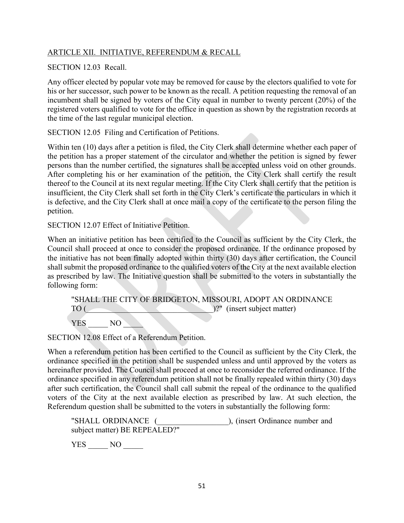# ARTICLE XII. INITIATIVE, REFERENDUM & RECALL

# SECTION 12.03 Recall.

Any officer elected by popular vote may be removed for cause by the electors qualified to vote for his or her successor, such power to be known as the recall. A petition requesting the removal of an incumbent shall be signed by voters of the City equal in number to twenty percent (20%) of the registered voters qualified to vote for the office in question as shown by the registration records at the time of the last regular municipal election.

SECTION 12.05 Filing and Certification of Petitions.

Within ten (10) days after a petition is filed, the City Clerk shall determine whether each paper of the petition has a proper statement of the circulator and whether the petition is signed by fewer persons than the number certified, the signatures shall be accepted unless void on other grounds. After completing his or her examination of the petition, the City Clerk shall certify the result thereof to the Council at its next regular meeting. If the City Clerk shall certify that the petition is insufficient, the City Clerk shall set forth in the City Clerk's certificate the particulars in which it is defective, and the City Clerk shall at once mail a copy of the certificate to the person filing the petition.

SECTION 12.07 Effect of Initiative Petition.

When an initiative petition has been certified to the Council as sufficient by the City Clerk, the Council shall proceed at once to consider the proposed ordinance. If the ordinance proposed by the initiative has not been finally adopted within thirty (30) days after certification, the Council shall submit the proposed ordinance to the qualified voters of the City at the next available election as prescribed by law. The Initiative question shall be submitted to the voters in substantially the following form:

|      |     |  | "SHALL THE CITY OF BRIDGETON, MISSOURI, ADOPT AN ORDINANCE |  |
|------|-----|--|------------------------------------------------------------|--|
| TO ( |     |  | )?" (insert subject matter)                                |  |
| YES  | NO. |  |                                                            |  |

SECTION 12.08 Effect of a Referendum Petition.

When a referendum petition has been certified to the Council as sufficient by the City Clerk, the ordinance specified in the petition shall be suspended unless and until approved by the voters as hereinafter provided. The Council shall proceed at once to reconsider the referred ordinance. If the ordinance specified in any referendum petition shall not be finally repealed within thirty (30) days after such certification, the Council shall call submit the repeal of the ordinance to the qualified voters of the City at the next available election as prescribed by law. At such election, the Referendum question shall be submitted to the voters in substantially the following form:

|     | "SHALL ORDINANCE (            | ), (insert Ordinance number and |  |
|-----|-------------------------------|---------------------------------|--|
|     | subject matter) BE REPEALED?" |                                 |  |
| YES | N()                           |                                 |  |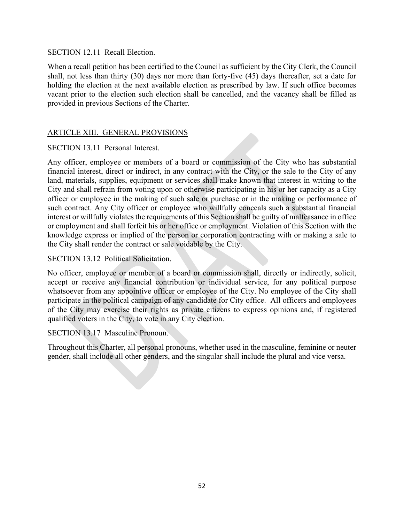SECTION 12.11 Recall Election.

When a recall petition has been certified to the Council as sufficient by the City Clerk, the Council shall, not less than thirty (30) days nor more than forty-five (45) days thereafter, set a date for holding the election at the next available election as prescribed by law. If such office becomes vacant prior to the election such election shall be cancelled, and the vacancy shall be filled as provided in previous Sections of the Charter.

# ARTICLE XIII. GENERAL PROVISIONS

SECTION 13.11 Personal Interest.

Any officer, employee or members of a board or commission of the City who has substantial financial interest, direct or indirect, in any contract with the City, or the sale to the City of any land, materials, supplies, equipment or services shall make known that interest in writing to the City and shall refrain from voting upon or otherwise participating in his or her capacity as a City officer or employee in the making of such sale or purchase or in the making or performance of such contract. Any City officer or employee who willfully conceals such a substantial financial interest or willfully violates the requirements of this Section shall be guilty of malfeasance in office or employment and shall forfeit his or her office or employment. Violation of this Section with the knowledge express or implied of the person or corporation contracting with or making a sale to the City shall render the contract or sale voidable by the City.

SECTION 13.12 Political Solicitation.

No officer, employee or member of a board or commission shall, directly or indirectly, solicit, accept or receive any financial contribution or individual service, for any political purpose whatsoever from any appointive officer or employee of the City. No employee of the City shall participate in the political campaign of any candidate for City office. All officers and employees of the City may exercise their rights as private citizens to express opinions and, if registered qualified voters in the City, to vote in any City election.

SECTION 13.17 Masculine Pronoun.

Throughout this Charter, all personal pronouns, whether used in the masculine, feminine or neuter gender, shall include all other genders, and the singular shall include the plural and vice versa.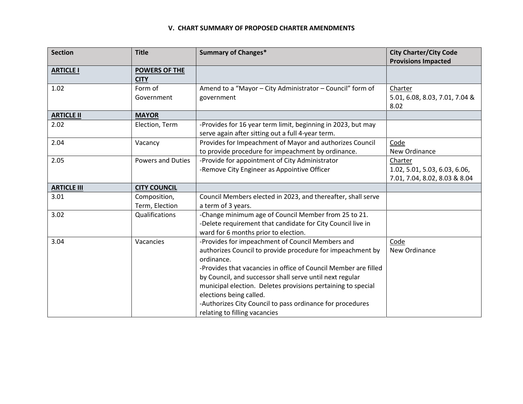#### **V. CHART SUMMARY OF PROPOSED CHARTER AMENDMENTS**

| <b>Section</b>     | <b>Title</b>             | <b>Summary of Changes*</b>                                                           | <b>City Charter/City Code</b>  |
|--------------------|--------------------------|--------------------------------------------------------------------------------------|--------------------------------|
|                    |                          |                                                                                      | <b>Provisions Impacted</b>     |
| <b>ARTICLE I</b>   | <b>POWERS OF THE</b>     |                                                                                      |                                |
|                    | <b>CITY</b>              |                                                                                      |                                |
| 1.02               | Form of                  | Amend to a "Mayor - City Administrator - Council" form of                            | Charter                        |
|                    | Government               | government                                                                           | 5.01, 6.08, 8.03, 7.01, 7.04 & |
|                    |                          |                                                                                      | 8.02                           |
| <b>ARTICLE II</b>  | <b>MAYOR</b>             |                                                                                      |                                |
| 2.02               | Election, Term           | -Provides for 16 year term limit, beginning in 2023, but may                         |                                |
|                    |                          | serve again after sitting out a full 4-year term.                                    |                                |
| 2.04               | Vacancy                  | Provides for Impeachment of Mayor and authorizes Council                             | Code                           |
|                    |                          | to provide procedure for impeachment by ordinance.                                   | New Ordinance                  |
| 2.05               | <b>Powers and Duties</b> | -Provide for appointment of City Administrator                                       | Charter                        |
|                    |                          | -Remove City Engineer as Appointive Officer                                          | 1.02, 5.01, 5.03, 6.03, 6.06,  |
|                    |                          |                                                                                      | 7.01, 7.04, 8.02, 8.03 & 8.04  |
| <b>ARTICLE III</b> | <b>CITY COUNCIL</b>      |                                                                                      |                                |
| 3.01               | Composition,             | Council Members elected in 2023, and thereafter, shall serve                         |                                |
|                    | Term, Election           | a term of 3 years.                                                                   |                                |
| 3.02               | Qualifications           | -Change minimum age of Council Member from 25 to 21.                                 |                                |
|                    |                          | -Delete requirement that candidate for City Council live in                          |                                |
|                    |                          | ward for 6 months prior to election.                                                 |                                |
| 3.04               | Vacancies                | -Provides for impeachment of Council Members and                                     | Code                           |
|                    |                          | authorizes Council to provide procedure for impeachment by                           | New Ordinance                  |
|                    |                          | ordinance.                                                                           |                                |
|                    |                          | -Provides that vacancies in office of Council Member are filled                      |                                |
|                    |                          | by Council, and successor shall serve until next regular                             |                                |
|                    |                          | municipal election. Deletes provisions pertaining to special                         |                                |
|                    |                          |                                                                                      |                                |
|                    |                          |                                                                                      |                                |
|                    |                          | elections being called.<br>-Authorizes City Council to pass ordinance for procedures |                                |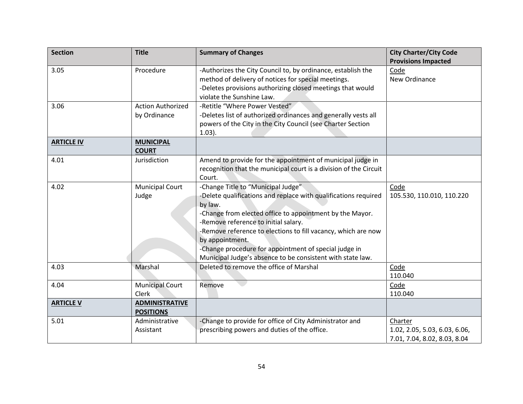| <b>Section</b>    | <b>Title</b>                              | <b>Summary of Changes</b>                                                                                                                                                                                                                                                                                                                                                                                                       | <b>City Charter/City Code</b><br><b>Provisions Impacted</b>              |
|-------------------|-------------------------------------------|---------------------------------------------------------------------------------------------------------------------------------------------------------------------------------------------------------------------------------------------------------------------------------------------------------------------------------------------------------------------------------------------------------------------------------|--------------------------------------------------------------------------|
| 3.05              | Procedure                                 | -Authorizes the City Council to, by ordinance, establish the<br>method of delivery of notices for special meetings.<br>-Deletes provisions authorizing closed meetings that would<br>violate the Sunshine Law.                                                                                                                                                                                                                  | Code<br>New Ordinance                                                    |
| 3.06              | <b>Action Authorized</b><br>by Ordinance  | -Retitle "Where Power Vested"<br>-Deletes list of authorized ordinances and generally vests all<br>powers of the City in the City Council (see Charter Section<br>$(1.03)$ .                                                                                                                                                                                                                                                    |                                                                          |
| <b>ARTICLE IV</b> | <b>MUNICIPAL</b><br><b>COURT</b>          |                                                                                                                                                                                                                                                                                                                                                                                                                                 |                                                                          |
| 4.01              | Jurisdiction                              | Amend to provide for the appointment of municipal judge in<br>recognition that the municipal court is a division of the Circuit<br>Court.                                                                                                                                                                                                                                                                                       |                                                                          |
| 4.02              | <b>Municipal Court</b><br>Judge           | -Change Title to "Municipal Judge"<br>-Delete qualifications and replace with qualifications required<br>by law.<br>-Change from elected office to appointment by the Mayor.<br>-Remove reference to initial salary.<br>-Remove reference to elections to fill vacancy, which are now<br>by appointment.<br>-Change procedure for appointment of special judge in<br>Municipal Judge's absence to be consistent with state law. | Code<br>105.530, 110.010, 110.220                                        |
| 4.03              | Marshal                                   | Deleted to remove the office of Marshal                                                                                                                                                                                                                                                                                                                                                                                         | Code<br>110.040                                                          |
| 4.04              | <b>Municipal Court</b><br>Clerk           | Remove                                                                                                                                                                                                                                                                                                                                                                                                                          | Code<br>110.040                                                          |
| <b>ARTICLE V</b>  | <b>ADMINISTRATIVE</b><br><b>POSITIONS</b> |                                                                                                                                                                                                                                                                                                                                                                                                                                 |                                                                          |
| 5.01              | Administrative<br>Assistant               | -Change to provide for office of City Administrator and<br>prescribing powers and duties of the office.                                                                                                                                                                                                                                                                                                                         | Charter<br>1.02, 2.05, 5.03, 6.03, 6.06,<br>7.01, 7.04, 8.02, 8.03, 8.04 |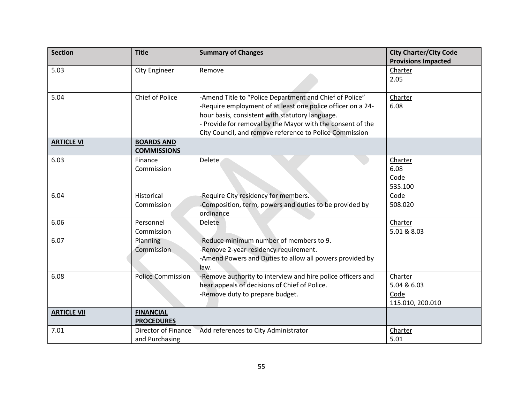| <b>Section</b>     | <b>Title</b>             | <b>Summary of Changes</b>                                   | <b>City Charter/City Code</b> |
|--------------------|--------------------------|-------------------------------------------------------------|-------------------------------|
|                    |                          |                                                             | <b>Provisions Impacted</b>    |
| 5.03               | <b>City Engineer</b>     | Remove                                                      | Charter                       |
|                    |                          |                                                             | 2.05                          |
|                    |                          |                                                             |                               |
| 5.04               | Chief of Police          | -Amend Title to "Police Department and Chief of Police"     | Charter                       |
|                    |                          | -Require employment of at least one police officer on a 24- | 6.08                          |
|                    |                          | hour basis, consistent with statutory language.             |                               |
|                    |                          | - Provide for removal by the Mayor with the consent of the  |                               |
|                    |                          | City Council, and remove reference to Police Commission     |                               |
| <b>ARTICLE VI</b>  | <b>BOARDS AND</b>        |                                                             |                               |
|                    | <b>COMMISSIONS</b>       |                                                             |                               |
| 6.03               | Finance                  | Delete                                                      | Charter                       |
|                    | Commission               |                                                             | 6.08                          |
|                    |                          |                                                             | Code                          |
|                    |                          |                                                             | 535.100                       |
| 6.04               | Historical               | -Require City residency for members.                        | Code                          |
|                    | Commission               | -Composition, term, powers and duties to be provided by     | 508.020                       |
|                    |                          | ordinance                                                   |                               |
| 6.06               | Personnel                | Delete                                                      | Charter                       |
|                    | Commission               |                                                             | 5.01 & 8.03                   |
| 6.07               | Planning                 | -Reduce minimum number of members to 9.                     |                               |
|                    | Commission               | -Remove 2-year residency requirement.                       |                               |
|                    |                          | -Amend Powers and Duties to allow all powers provided by    |                               |
|                    |                          | law.                                                        |                               |
| 6.08               | <b>Police Commission</b> | -Remove authority to interview and hire police officers and | Charter                       |
|                    |                          | hear appeals of decisions of Chief of Police.               | 5.04 & 6.03                   |
|                    |                          | -Remove duty to prepare budget.                             | Code                          |
|                    |                          |                                                             | 115.010, 200.010              |
| <b>ARTICLE VII</b> | <b>FINANCIAL</b>         |                                                             |                               |
|                    | <b>PROCEDURES</b>        |                                                             |                               |
| 7.01               | Director of Finance      | Add references to City Administrator                        | Charter                       |
|                    | and Purchasing           |                                                             | 5.01                          |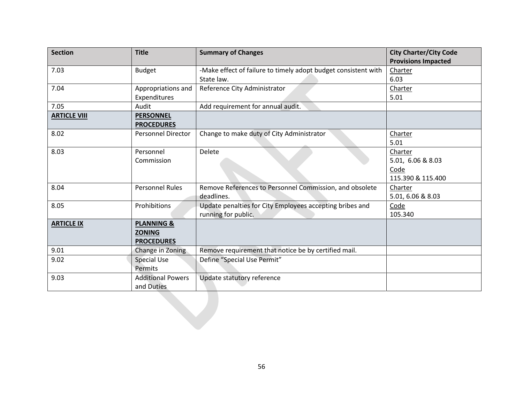| <b>Section</b>      | <b>Title</b>              | <b>Summary of Changes</b>                                      | <b>City Charter/City Code</b> |
|---------------------|---------------------------|----------------------------------------------------------------|-------------------------------|
|                     |                           |                                                                | <b>Provisions Impacted</b>    |
| 7.03                | <b>Budget</b>             | -Make effect of failure to timely adopt budget consistent with | Charter                       |
|                     |                           | State law.                                                     | 6.03                          |
| 7.04                | Appropriations and        | Reference City Administrator                                   | Charter                       |
|                     | Expenditures              |                                                                | 5.01                          |
| 7.05                | Audit                     | Add requirement for annual audit.                              |                               |
| <b>ARTICLE VIII</b> | <b>PERSONNEL</b>          |                                                                |                               |
|                     | <b>PROCEDURES</b>         |                                                                |                               |
| 8.02                | <b>Personnel Director</b> | Change to make duty of City Administrator                      | Charter                       |
|                     |                           |                                                                | 5.01                          |
| 8.03                | Personnel                 | Delete                                                         | Charter                       |
|                     | Commission                |                                                                | 5.01, 6.06 & 8.03             |
|                     |                           |                                                                | Code                          |
|                     |                           |                                                                | 115.390 & 115.400             |
| 8.04                | <b>Personnel Rules</b>    | Remove References to Personnel Commission, and obsolete        | Charter                       |
|                     |                           | deadlines.                                                     | 5.01, 6.06 & 8.03             |
| 8.05                | Prohibitions              | Update penalties for City Employees accepting bribes and       | Code                          |
|                     |                           | running for public.                                            | 105.340                       |
| <b>ARTICLE IX</b>   | <b>PLANNING &amp;</b>     |                                                                |                               |
|                     | <b>ZONING</b>             |                                                                |                               |
|                     | <b>PROCEDURES</b>         |                                                                |                               |
| 9.01                | Change in Zoning          | Remove requirement that notice be by certified mail.           |                               |
| 9.02                | <b>Special Use</b>        | Define "Special Use Permit"                                    |                               |
|                     | Permits                   |                                                                |                               |
| 9.03                | <b>Additional Powers</b>  | Update statutory reference                                     |                               |
|                     | and Duties                |                                                                |                               |
|                     |                           |                                                                |                               |
|                     |                           |                                                                |                               |
|                     |                           |                                                                |                               |
|                     |                           |                                                                |                               |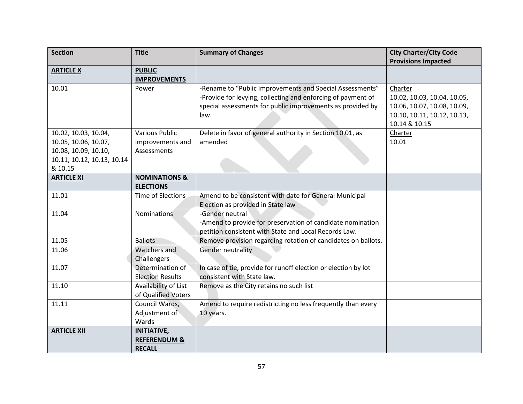| <b>Section</b>             | <b>Title</b>             | <b>Summary of Changes</b>                                      | <b>City Charter/City Code</b> |
|----------------------------|--------------------------|----------------------------------------------------------------|-------------------------------|
|                            |                          |                                                                | <b>Provisions Impacted</b>    |
| <b>ARTICLE X</b>           | <b>PUBLIC</b>            |                                                                |                               |
|                            | <b>IMPROVEMENTS</b>      |                                                                |                               |
| 10.01                      | Power                    | -Rename to "Public Improvements and Special Assessments"       | Charter                       |
|                            |                          | -Provide for levying, collecting and enforcing of payment of   | 10.02, 10.03, 10.04, 10.05,   |
|                            |                          | special assessments for public improvements as provided by     | 10.06, 10.07, 10.08, 10.09,   |
|                            |                          | law.                                                           | 10.10, 10.11, 10.12, 10.13,   |
|                            |                          |                                                                | 10.14 & 10.15                 |
| 10.02, 10.03, 10.04,       | <b>Various Public</b>    | Delete in favor of general authority in Section 10.01, as      | Charter                       |
| 10.05, 10.06, 10.07,       | Improvements and         | amended                                                        | 10.01                         |
| 10.08, 10.09, 10.10,       | Assessments              |                                                                |                               |
| 10.11, 10.12, 10.13, 10.14 |                          |                                                                |                               |
| & 10.15                    |                          |                                                                |                               |
| <b>ARTICLE XI</b>          | <b>NOMINATIONS &amp;</b> |                                                                |                               |
|                            | <b>ELECTIONS</b>         |                                                                |                               |
| 11.01                      | Time of Elections        | Amend to be consistent with date for General Municipal         |                               |
|                            |                          | Election as provided in State law<br>-Gender neutral           |                               |
| 11.04                      | Nominations              | -Amend to provide for preservation of candidate nomination     |                               |
|                            |                          | petition consistent with State and Local Records Law.          |                               |
| 11.05                      | <b>Ballots</b>           | Remove provision regarding rotation of candidates on ballots.  |                               |
| 11.06                      | Watchers and             | <b>Gender neutrality</b>                                       |                               |
|                            | Challengers              |                                                                |                               |
| 11.07                      | Determination of         | In case of tie, provide for runoff election or election by lot |                               |
|                            | <b>Election Results</b>  | consistent with State law.                                     |                               |
| 11.10                      | Availability of List     | Remove as the City retains no such list                        |                               |
|                            | of Qualified Voters      |                                                                |                               |
| 11.11                      | Council Wards,           | Amend to require redistricting no less frequently than every   |                               |
|                            | Adjustment of            | 10 years.                                                      |                               |
|                            | Wards                    |                                                                |                               |
| <b>ARTICLE XII</b>         | <b>INITIATIVE,</b>       |                                                                |                               |
|                            | <b>REFERENDUM &amp;</b>  |                                                                |                               |
|                            | <b>RECALL</b>            |                                                                |                               |